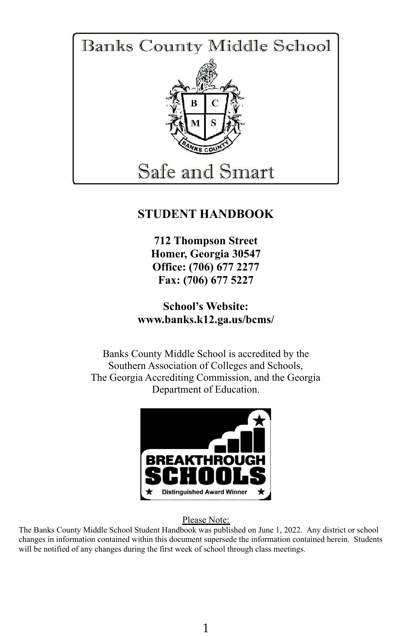

## **STUDENT HANDBOOK**

**712 Thompson Street Homer, Georgia 30547 Office: (706) 677 2277 Fax: (706) 677 5227**

**School's Website: www.banks.k12.ga.us/bcms/**

Banks County Middle School is accredited by the Southern Association of Colleges and Schools, The Georgia Accrediting Commission, and the Georgia Department of Education.



Please Note:

The Banks County Middle School Student Handbook was published on June 1, 2022. Any district or school changes in information contained within this document supersede the information contained herein. Students will be notified of any changes during the first week of school through class meetings.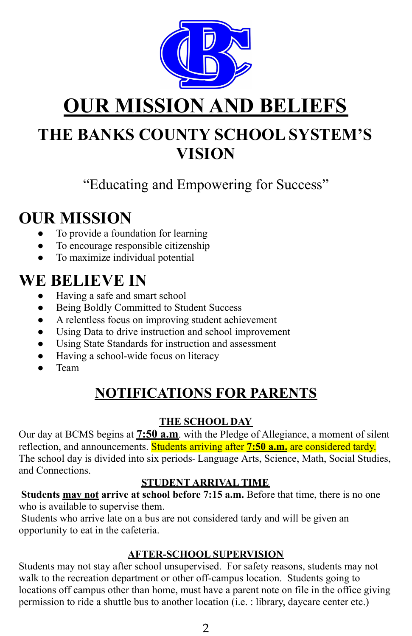

# **OUR MISSION AND BELIEFS**

# **THE BANKS COUNTY SCHOOL SYSTEM'S VISION**

# "Educating and Empowering for Success"

# **OUR MISSION**

- To provide a foundation for learning
- To encourage responsible citizenship
- To maximize individual potential

# **WE BELIEVE IN**

- Having a safe and smart school
- Being Boldly Committed to Student Success
- A relentless focus on improving student achievement
- Using Data to drive instruction and school improvement
- Using State Standards for instruction and assessment
- Having a school-wide focus on literacy
- Team

# **NOTIFICATIONS FOR PARENTS**

## **THE SCHOOL DAY**

Our day at BCMS begins at **7:50 a.m**. with the Pledge of Allegiance, a moment of silent reflection, and announcements. Students arriving after **7:50 a.m.** are considered tardy. The school day is divided into six periods- Language Arts, Science, Math, Social Studies, and Connections.

## **STUDENT ARRIVAL TIME**

**Students may not arrive at school before 7:15 a.m.** Before that time, there is no one who is available to supervise them.

Students who arrive late on a bus are not considered tardy and will be given an opportunity to eat in the cafeteria.

## **AFTER-SCHOOL SUPERVISION**

Students may not stay after school unsupervised. For safety reasons, students may not walk to the recreation department or other off-campus location. Students going to locations off campus other than home, must have a parent note on file in the office giving permission to ride a shuttle bus to another location (i.e. : library, daycare center etc.)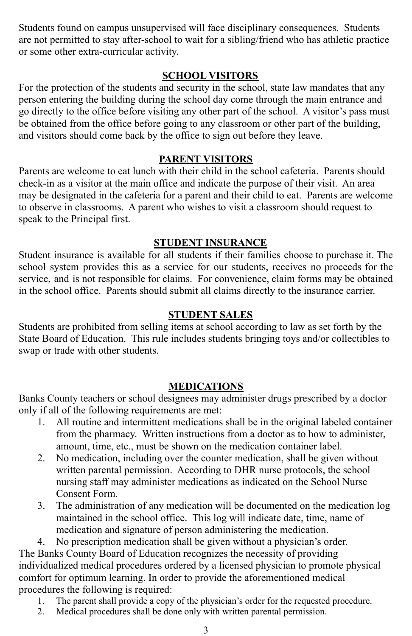Students found on campus unsupervised will face disciplinary consequences. Students are not permitted to stay after-school to wait for a sibling/friend who has athletic practice or some other extra-curricular activity.

## **SCHOOL VISITORS**

For the protection of the students and security in the school, state law mandates that any person entering the building during the school day come through the main entrance and go directly to the office before visiting any other part of the school. A visitor's pass must be obtained from the office before going to any classroom or other part of the building, and visitors should come back by the office to sign out before they leave.

#### **PARENT VISITORS**

Parents are welcome to eat lunch with their child in the school cafeteria. Parents should check-in as a visitor at the main office and indicate the purpose of their visit. An area may be designated in the cafeteria for a parent and their child to eat. Parents are welcome to observe in classrooms. A parent who wishes to visit a classroom should request to speak to the Principal first.

#### **STUDENT INSURANCE**

Student insurance is available for all students if their families choose to purchase it. The school system provides this as a service for our students, receives no proceeds for the service, and is not responsible for claims. For convenience, claim forms may be obtained in the school office. Parents should submit all claims directly to the insurance carrier.

### **STUDENT SALES**

Students are prohibited from selling items at school according to law as set forth by the State Board of Education. This rule includes students bringing toys and/or collectibles to swap or trade with other students.

#### **MEDICATIONS**

Banks County teachers or school designees may administer drugs prescribed by a doctor only if all of the following requirements are met:

- 1. All routine and intermittent medications shall be in the original labeled container from the pharmacy. Written instructions from a doctor as to how to administer, amount, time, etc., must be shown on the medication container label.
- 2. No medication, including over the counter medication, shall be given without written parental permission. According to DHR nurse protocols, the school nursing staff may administer medications as indicated on the School Nurse Consent Form.
- 3. The administration of any medication will be documented on the medication log maintained in the school office. This log will indicate date, time, name of medication and signature of person administering the medication.

4. No prescription medication shall be given without a physician's order. The Banks County Board of Education recognizes the necessity of providing individualized medical procedures ordered by a licensed physician to promote physical comfort for optimum learning. In order to provide the aforementioned medical procedures the following is required:

- 1. The parent shall provide a copy of the physician's order for the requested procedure.
- 2. Medical procedures shall be done only with written parental permission.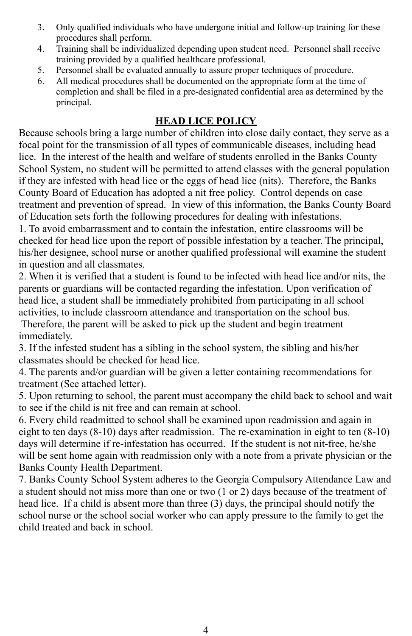- 3. Only qualified individuals who have undergone initial and follow-up training for these procedures shall perform.
- 4. Training shall be individualized depending upon student need. Personnel shall receive training provided by a qualified healthcare professional.
- 5. Personnel shall be evaluated annually to assure proper techniques of procedure.
- 6. All medical procedures shall be documented on the appropriate form at the time of completion and shall be filed in a pre-designated confidential area as determined by the principal.

## **HEAD LICE POLICY**

Because schools bring a large number of children into close daily contact, they serve as a focal point for the transmission of all types of communicable diseases, including head lice. In the interest of the health and welfare of students enrolled in the Banks County School System, no student will be permitted to attend classes with the general population if they are infested with head lice or the eggs of head lice (nits). Therefore, the Banks County Board of Education has adopted a nit free policy. Control depends on case treatment and prevention of spread. In view of this information, the Banks County Board of Education sets forth the following procedures for dealing with infestations.

1. To avoid embarrassment and to contain the infestation, entire classrooms will be checked for head lice upon the report of possible infestation by a teacher. The principal, his/her designee, school nurse or another qualified professional will examine the student in question and all classmates.

2. When it is verified that a student is found to be infected with head lice and/or nits, the parents or guardians will be contacted regarding the infestation. Upon verification of head lice, a student shall be immediately prohibited from participating in all school activities, to include classroom attendance and transportation on the school bus.

Therefore, the parent will be asked to pick up the student and begin treatment immediately.

3. If the infested student has a sibling in the school system, the sibling and his/her classmates should be checked for head lice.

4. The parents and/or guardian will be given a letter containing recommendations for treatment (See attached letter).

5. Upon returning to school, the parent must accompany the child back to school and wait to see if the child is nit free and can remain at school.

6. Every child readmitted to school shall be examined upon readmission and again in eight to ten days (8-10) days after readmission. The re-examination in eight to ten (8-10) days will determine if re-infestation has occurred. If the student is not nit-free, he/she will be sent home again with readmission only with a note from a private physician or the Banks County Health Department.

7. Banks County School System adheres to the Georgia Compulsory Attendance Law and a student should not miss more than one or two (1 or 2) days because of the treatment of head lice. If a child is absent more than three (3) days, the principal should notify the school nurse or the school social worker who can apply pressure to the family to get the child treated and back in school.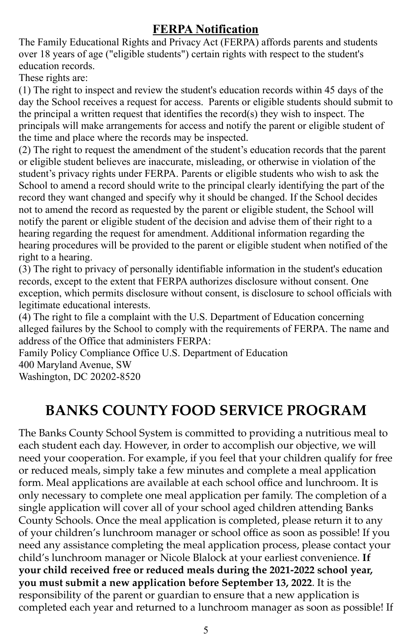## **FERPA Notification**

The Family Educational Rights and Privacy Act (FERPA) affords parents and students over 18 years of age ("eligible students") certain rights with respect to the student's education records.

These rights are:

(1) The right to inspect and review the student's education records within 45 days of the day the School receives a request for access. Parents or eligible students should submit to the principal a written request that identifies the record(s) they wish to inspect. The principals will make arrangements for access and notify the parent or eligible student of the time and place where the records may be inspected.

(2) The right to request the amendment of the student's education records that the parent or eligible student believes are inaccurate, misleading, or otherwise in violation of the student's privacy rights under FERPA. Parents or eligible students who wish to ask the School to amend a record should write to the principal clearly identifying the part of the record they want changed and specify why it should be changed. If the School decides not to amend the record as requested by the parent or eligible student, the School will notify the parent or eligible student of the decision and advise them of their right to a hearing regarding the request for amendment. Additional information regarding the hearing procedures will be provided to the parent or eligible student when notified of the right to a hearing.

(3) The right to privacy of personally identifiable information in the student's education records, except to the extent that FERPA authorizes disclosure without consent. One exception, which permits disclosure without consent, is disclosure to school officials with legitimate educational interests.

(4) The right to file a complaint with the U.S. Department of Education concerning alleged failures by the School to comply with the requirements of FERPA. The name and address of the Office that administers FERPA:

Family Policy Compliance Office U.S. Department of Education 400 Maryland Avenue, SW Washington, DC 20202-8520

# **BANKS COUNTY FOOD SERVICE PROGRAM**

The Banks County School System is committed to providing a nutritious meal to each student each day. However, in order to accomplish our objective, we will need your cooperation. For example, if you feel that your children qualify for free or reduced meals, simply take a few minutes and complete a meal application form. Meal applications are available at each school office and lunchroom. It is only necessary to complete one meal application per family. The completion of a single application will cover all of your school aged children attending Banks County Schools. Once the meal application is completed, please return it to any of your children's lunchroom manager or school office as soon as possible! If you need any assistance completing the meal application process, please contact your child's lunchroom manager or Nicole Blalock at your earliest convenience. **If your child received free or reduced meals during the 2021-2022 school year, you must submit a new application before September 13, 2022**. It is the responsibility of the parent or guardian to ensure that a new application is completed each year and returned to a lunchroom manager as soon as possible! If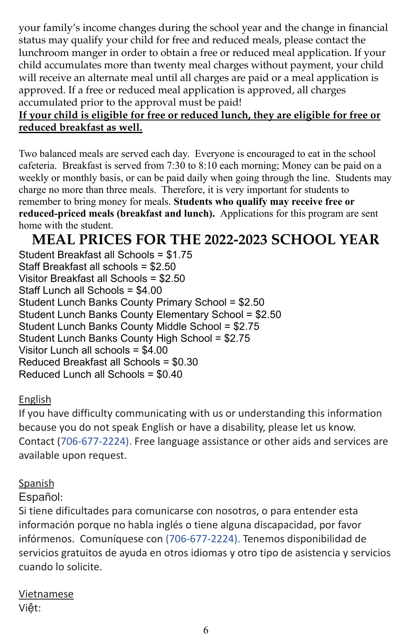your family's income changes during the school year and the change in financial status may qualify your child for free and reduced meals, please contact the lunchroom manger in order to obtain a free or reduced meal application. If your child accumulates more than twenty meal charges without payment, your child will receive an alternate meal until all charges are paid or a meal application is approved. If a free or reduced meal application is approved, all charges accumulated prior to the approval must be paid!

## **If your child is eligible for free or reduced lunch, they are eligible for free or reduced breakfast as well.**

Two balanced meals are served each day. Everyone is encouraged to eat in the school cafeteria. Breakfast is served from 7:30 to 8:10 each morning; Money can be paid on a weekly or monthly basis, or can be paid daily when going through the line. Students may charge no more than three meals. Therefore, it is very important for students to remember to bring money for meals. **Students who qualify may receive free or reduced-priced meals (breakfast and lunch).** Applications for this program are sent home with the student.

# **MEAL PRICES FOR THE 2022-2023 SCHOOL YEAR**

Student Breakfast all Schools = \$1.75 Staff Breakfast all schools = \$2.50 Visitor Breakfast all Schools = \$2.50 Staff Lunch all Schools = \$4.00 Student Lunch Banks County Primary School = \$2.50 Student Lunch Banks County Elementary School = \$2.50 Student Lunch Banks County Middle School = \$2.75 Student Lunch Banks County High School = \$2.75 Visitor Lunch all schools = \$4.00 Reduced Breakfast all Schools = \$0.30 Reduced Lunch all Schools = \$0.40

## English

If you have difficulty communicating with us or understanding this information because you do not speak English or have a disability, please let us know. Contact (706-677-2224). Free language assistance or other aids and services are available upon request.

## **Spanish**

Español:

Si tiene dificultades para comunicarse con nosotros, o para entender esta información porque no habla inglés o tiene alguna discapacidad, por favor infórmenos. Comuníquese con (706-677-2224). Tenemos disponibilidad de servicios gratuitos de ayuda en otros idiomas y otro tipo de asistencia y servicios cuando lo solicite.

Vietnamese Việt: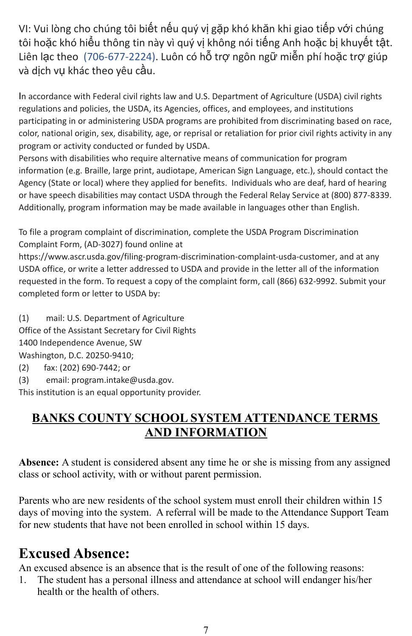VI: Vui lòng cho chúng tôi biết nếu quý vị gặp khó khăn khi giao tiếp với chúng tôi hoặc khó hiểu thông tin này vì quý vị không nói tiếng Anh hoặc bị khuyết tật. Liên lạc theo (706-677-2224). Luôn có hỗ trợ ngôn ngữ miễn phí hoặc trợ giúp và dịch vụ khác theo yêu cầu.

In accordance with Federal civil rights law and U.S. Department of Agriculture (USDA) civil rights regulations and policies, the USDA, its Agencies, offices, and employees, and institutions participating in or administering USDA programs are prohibited from discriminating based on race, color, national origin, sex, disability, age, or reprisal or retaliation for prior civil rights activity in any program or activity conducted or funded by USDA.

Persons with disabilities who require alternative means of communication for program information (e.g. Braille, large print, audiotape, American Sign Language, etc.), should contact the Agency (State or local) where they applied for benefits. Individuals who are deaf, hard of hearing or have speech disabilities may contact USDA through the Federal Relay Service at (800) 877-8339. Additionally, program information may be made available in languages other than English.

To file a program complaint of discrimination, complete the [USDA Program Discrimination](https://www.ocio.usda.gov/sites/default/files/docs/2012/Complain_combined_6_8_12.pdf) [Complaint Form,](https://www.ocio.usda.gov/sites/default/files/docs/2012/Complain_combined_6_8_12.pdf) (AD-3027) found online at

<https://www.ascr.usda.gov/filing-program-discrimination-complaint-usda-customer>, and at any USDA office, or write a letter addressed to USDA and provide in the letter all of the information requested in the form. To request a copy of the complaint form, call (866) 632-9992. Submit your completed form or letter to USDA by:

(1) mail: U.S. Department of Agriculture Office of the Assistant Secretary for Civil Rights 1400 Independence Avenue, SW Washington, D.C. 20250-9410;

- (2) fax: (202) 690-7442; or
- (3) email: [program.intake@usda.gov](mailto:program.intake@usda.gov).

This institution is an equal opportunity provider.

## **BANKS COUNTY SCHOOL SYSTEM ATTENDANCE TERMS AND INFORMATION**

**Absence:** A student is considered absent any time he or she is missing from any assigned class or school activity, with or without parent permission.

Parents who are new residents of the school system must enroll their children within 15 days of moving into the system. A referral will be made to the Attendance Support Team for new students that have not been enrolled in school within 15 days.

# **Excused Absence:**

An excused absence is an absence that is the result of one of the following reasons:

1. The student has a personal illness and attendance at school will endanger his/her health or the health of others.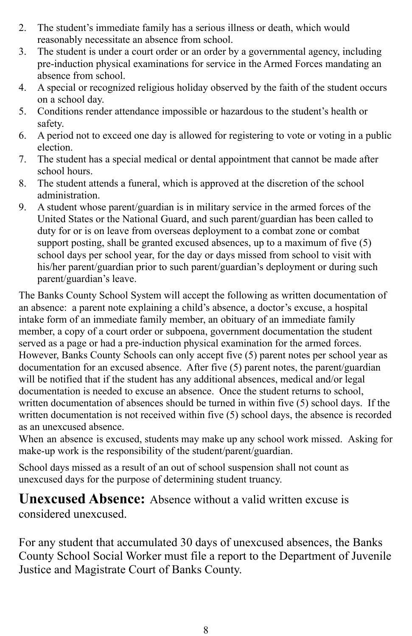- 2. The student's immediate family has a serious illness or death, which would reasonably necessitate an absence from school.
- 3. The student is under a court order or an order by a governmental agency, including pre-induction physical examinations for service in the Armed Forces mandating an absence from school.
- 4. A special or recognized religious holiday observed by the faith of the student occurs on a school day.
- 5. Conditions render attendance impossible or hazardous to the student's health or safety.
- 6. A period not to exceed one day is allowed for registering to vote or voting in a public election.
- 7. The student has a special medical or dental appointment that cannot be made after school hours.
- 8. The student attends a funeral, which is approved at the discretion of the school administration.
- 9. A student whose parent/guardian is in military service in the armed forces of the United States or the National Guard, and such parent/guardian has been called to duty for or is on leave from overseas deployment to a combat zone or combat support posting, shall be granted excused absences, up to a maximum of five (5) school days per school year, for the day or days missed from school to visit with his/her parent/guardian prior to such parent/guardian's deployment or during such parent/guardian's leave.

The Banks County School System will accept the following as written documentation of an absence: a parent note explaining a child's absence, a doctor's excuse, a hospital intake form of an immediate family member, an obituary of an immediate family member, a copy of a court order or subpoena, government documentation the student served as a page or had a pre-induction physical examination for the armed forces. However, Banks County Schools can only accept five (5) parent notes per school year as documentation for an excused absence. After five (5) parent notes, the parent/guardian will be notified that if the student has any additional absences, medical and/or legal documentation is needed to excuse an absence. Once the student returns to school, written documentation of absences should be turned in within five (5) school days. If the written documentation is not received within five (5) school days, the absence is recorded as an unexcused absence.

When an absence is excused, students may make up any school work missed. Asking for make-up work is the responsibility of the student/parent/guardian.

School days missed as a result of an out of school suspension shall not count as unexcused days for the purpose of determining student truancy.

**Unexcused Absence:** Absence without a valid written excuse is considered unexcused.

For any student that accumulated 30 days of unexcused absences, the Banks County School Social Worker must file a report to the Department of Juvenile Justice and Magistrate Court of Banks County.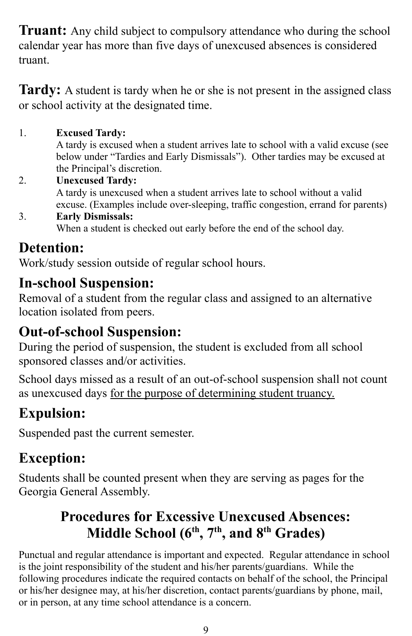**Truant:** Any child subject to compulsory attendance who during the school calendar year has more than five days of unexcused absences is considered truant.

**Tardy:** A student is tardy when he or she is not present in the assigned class or school activity at the designated time.

## 1. **Excused Tardy:**

A tardy is excused when a student arrives late to school with a valid excuse (see below under "Tardies and Early Dismissals"). Other tardies may be excused at the Principal's discretion.

- 2. **Unexcused Tardy:** A tardy is unexcused when a student arrives late to school without a valid excuse. (Examples include over-sleeping, traffic congestion, errand for parents)
- 3. **Early Dismissals:** When a student is checked out early before the end of the school day.

# **Detention:**

Work/study session outside of regular school hours.

# **In-school Suspension:**

Removal of a student from the regular class and assigned to an alternative location isolated from peers.

# **Out-of-school Suspension:**

During the period of suspension, the student is excluded from all school sponsored classes and/or activities.

School days missed as a result of an out-of-school suspension shall not count as unexcused days for the purpose of determining student truancy.

# **Expulsion:**

Suspended past the current semester.

# **Exception:**

Students shall be counted present when they are serving as pages for the Georgia General Assembly.

# **Procedures for Excessive Unexcused Absences: Middle School (6 th , 7 th , and 8 th Grades)**

Punctual and regular attendance is important and expected. Regular attendance in school is the joint responsibility of the student and his/her parents/guardians. While the following procedures indicate the required contacts on behalf of the school, the Principal or his/her designee may, at his/her discretion, contact parents/guardians by phone, mail, or in person, at any time school attendance is a concern.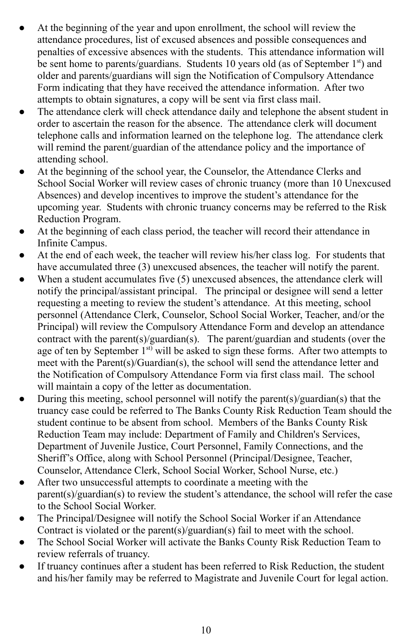- At the beginning of the year and upon enrollment, the school will review the attendance procedures, list of excused absences and possible consequences and penalties of excessive absences with the students. This attendance information will be sent home to parents/guardians. Students 10 years old (as of September 1<sup>st</sup>) and older and parents/guardians will sign the Notification of Compulsory Attendance Form indicating that they have received the attendance information. After two attempts to obtain signatures, a copy will be sent via first class mail.
- The attendance clerk will check attendance daily and telephone the absent student in order to ascertain the reason for the absence. The attendance clerk will document telephone calls and information learned on the telephone log. The attendance clerk will remind the parent/guardian of the attendance policy and the importance of attending school.
- At the beginning of the school year, the Counselor, the Attendance Clerks and School Social Worker will review cases of chronic truancy (more than 10 Unexcused Absences) and develop incentives to improve the student's attendance for the upcoming year. Students with chronic truancy concerns may be referred to the Risk Reduction Program.
- At the beginning of each class period, the teacher will record their attendance in Infinite Campus.
- At the end of each week, the teacher will review his/her class log. For students that have accumulated three (3) unexcused absences, the teacher will notify the parent.
- When a student accumulates five  $(5)$  unexcused absences, the attendance clerk will notify the principal/assistant principal. The principal or designee will send a letter requesting a meeting to review the student's attendance. At this meeting, school personnel (Attendance Clerk, Counselor, School Social Worker, Teacher, and/or the Principal) will review the Compulsory Attendance Form and develop an attendance contract with the parent(s)/guardian(s). The parent/guardian and students (over the age of ten by September 1<sup>st)</sup> will be asked to sign these forms. After two attempts to meet with the Parent(s)/Guardian(s), the school will send the attendance letter and the Notification of Compulsory Attendance Form via first class mail. The school will maintain a copy of the letter as documentation.
- During this meeting, school personnel will notify the parent(s)/guardian(s) that the truancy case could be referred to The Banks County Risk Reduction Team should the student continue to be absent from school. Members of the Banks County Risk Reduction Team may include: Department of Family and Children's Services, Department of Juvenile Justice, Court Personnel, Family Connections, and the Sheriff's Office, along with School Personnel (Principal/Designee, Teacher, Counselor, Attendance Clerk, School Social Worker, School Nurse, etc.)
- After two unsuccessful attempts to coordinate a meeting with the parent(s)/guardian(s) to review the student's attendance, the school will refer the case to the School Social Worker.
- The Principal/Designee will notify the School Social Worker if an Attendance Contract is violated or the parent(s)/guardian(s) fail to meet with the school.
- The School Social Worker will activate the Banks County Risk Reduction Team to review referrals of truancy.
- If truancy continues after a student has been referred to Risk Reduction, the student and his/her family may be referred to Magistrate and Juvenile Court for legal action.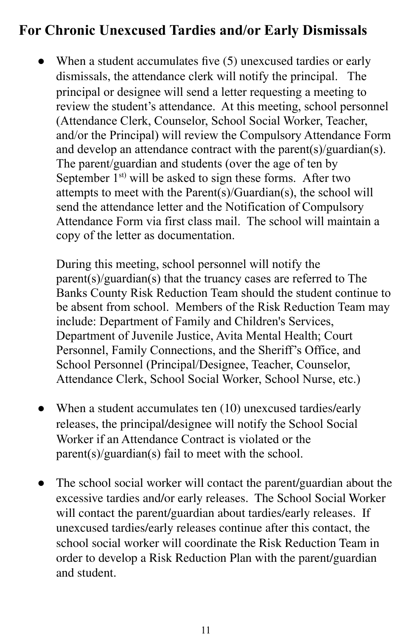# **For Chronic Unexcused Tardies and/or Early Dismissals**

• When a student accumulates five (5) unexcused tardies or early dismissals, the attendance clerk will notify the principal. The principal or designee will send a letter requesting a meeting to review the student's attendance. At this meeting, school personnel (Attendance Clerk, Counselor, School Social Worker, Teacher, and/or the Principal) will review the Compulsory Attendance Form and develop an attendance contract with the parent(s)/guardian(s). The parent/guardian and students (over the age of ten by September  $1^{st}$  will be asked to sign these forms. After two attempts to meet with the Parent(s)/Guardian(s), the school will send the attendance letter and the Notification of Compulsory Attendance Form via first class mail. The school will maintain a copy of the letter as documentation.

During this meeting, school personnel will notify the parent(s)/guardian(s) that the truancy cases are referred to The Banks County Risk Reduction Team should the student continue to be absent from school. Members of the Risk Reduction Team may include: Department of Family and Children's Services, Department of Juvenile Justice, Avita Mental Health; Court Personnel, Family Connections, and the Sheriff's Office, and School Personnel (Principal/Designee, Teacher, Counselor, Attendance Clerk, School Social Worker, School Nurse, etc.)

- When a student accumulates ten  $(10)$  unexcused tardies/early releases, the principal/designee will notify the School Social Worker if an Attendance Contract is violated or the parent(s)/guardian(s) fail to meet with the school.
- The school social worker will contact the parent/guardian about the excessive tardies and/or early releases. The School Social Worker will contact the parent/guardian about tardies/early releases. If unexcused tardies/early releases continue after this contact, the school social worker will coordinate the Risk Reduction Team in order to develop a Risk Reduction Plan with the parent/guardian and student.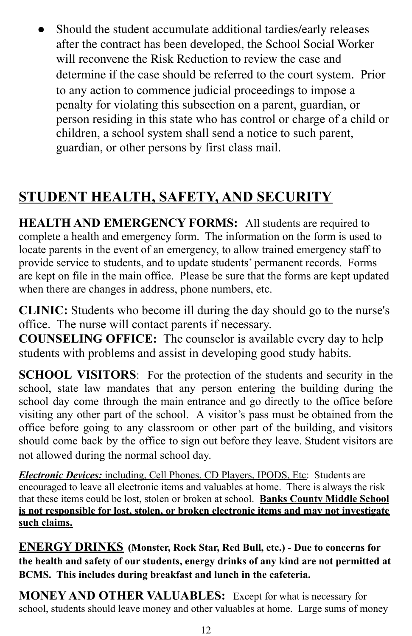● Should the student accumulate additional tardies/early releases after the contract has been developed, the School Social Worker will reconvene the Risk Reduction to review the case and determine if the case should be referred to the court system. Prior to any action to commence judicial proceedings to impose a penalty for violating this subsection on a parent, guardian, or person residing in this state who has control or charge of a child or children, a school system shall send a notice to such parent, guardian, or other persons by first class mail.

# **STUDENT HEALTH, SAFETY, AND SECURITY**

**HEALTH AND EMERGENCY FORMS:** All students are required to complete a health and emergency form. The information on the form is used to locate parents in the event of an emergency, to allow trained emergency staff to provide service to students, and to update students' permanent records. Forms are kept on file in the main office. Please be sure that the forms are kept updated when there are changes in address, phone numbers, etc.

**CLINIC:** Students who become ill during the day should go to the nurse's office. The nurse will contact parents if necessary.

**COUNSELING OFFICE:** The counselor is available every day to help students with problems and assist in developing good study habits.

**SCHOOL VISITORS**: For the protection of the students and security in the school, state law mandates that any person entering the building during the school day come through the main entrance and go directly to the office before visiting any other part of the school. A visitor's pass must be obtained from the office before going to any classroom or other part of the building, and visitors should come back by the office to sign out before they leave. Student visitors are not allowed during the normal school day.

*Electronic Devices:* including, Cell Phones, CD Players, IPODS, Etc: Students are encouraged to leave all electronic items and valuables at home. There is always the risk that these items could be lost, stolen or broken at school. **Banks County Middle School is not responsible for lost, stolen, or broken electronic items and may not investigate such claims.**

**ENERGY DRINKS (Monster, Rock Star, Red Bull, etc.) - Due to concerns for the health and safety of our students, energy drinks of any kind are not permitted at BCMS. This includes during breakfast and lunch in the cafeteria.**

**MONEY AND OTHER VALUABLES:** Except for what is necessary for school, students should leave money and other valuables at home. Large sums of money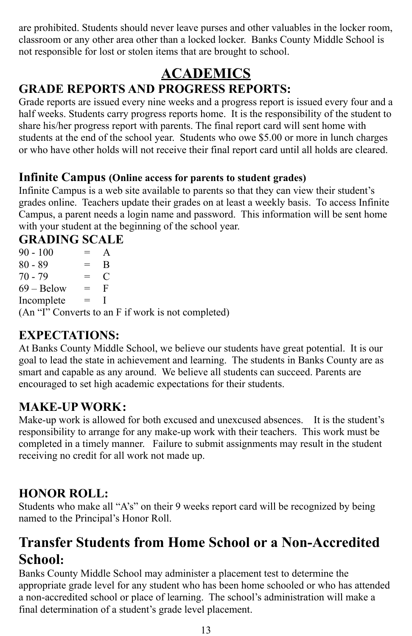are prohibited. Students should never leave purses and other valuables in the locker room, classroom or any other area other than a locked locker. Banks County Middle School is not responsible for lost or stolen items that are brought to school.

## **ACADEMICS GRADE REPORTS AND PROGRESS REPORTS:**

Grade reports are issued every nine weeks and a progress report is issued every four and a half weeks. Students carry progress reports home. It is the responsibility of the student to share his/her progress report with parents. The final report card will sent home with students at the end of the school year. Students who owe \$5.00 or more in lunch charges or who have other holds will not receive their final report card until all holds are cleared.

## **Infinite Campus (Online access for parents to student grades)**

Infinite Campus is a web site available to parents so that they can view their student's grades online. Teachers update their grades on at least a weekly basis. To access Infinite Campus, a parent needs a login name and password. This information will be sent home with your student at the beginning of the school year.

## **GRADING SCALE**

 $90 - 100 = A$  $80 - 89 = B$  $70 - 79 = C$  $69 - \text{Below} = F$ Incomplete = I (An "I" Converts to an F if work is not completed)

## **EXPECTATIONS:**

At Banks County Middle School, we believe our students have great potential. It is our goal to lead the state in achievement and learning. The students in Banks County are as smart and capable as any around. We believe all students can succeed. Parents are encouraged to set high academic expectations for their students.

## **MAKE-UP WORK:**

Make-up work is allowed for both excused and unexcused absences. It is the student's responsibility to arrange for any make-up work with their teachers. This work must be completed in a timely manner. Failure to submit assignments may result in the student receiving no credit for all work not made up.

## **HONOR ROLL:**

Students who make all "A's" on their 9 weeks report card will be recognized by being named to the Principal's Honor Roll.

# **Transfer Students from Home School or a Non-Accredited School:**

Banks County Middle School may administer a placement test to determine the appropriate grade level for any student who has been home schooled or who has attended a non-accredited school or place of learning. The school's administration will make a final determination of a student's grade level placement.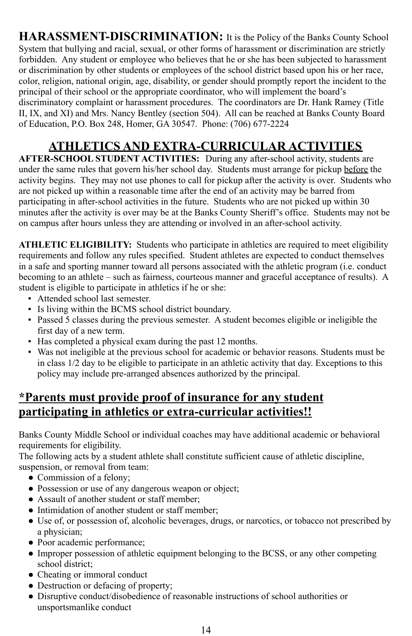**HARASSMENT-DISCRIMINATION:** It is the Policy of the Banks County School System that bullying and racial, sexual, or other forms of harassment or discrimination are strictly forbidden. Any student or employee who believes that he or she has been subjected to harassment or discrimination by other students or employees of the school district based upon his or her race, color, religion, national origin, age, disability, or gender should promptly report the incident to the principal of their school or the appropriate coordinator, who will implement the board's discriminatory complaint or harassment procedures. The coordinators are Dr. Hank Ramey (Title II, IX, and XI) and Mrs. Nancy Bentley (section 504). All can be reached at Banks County Board of Education, P.O. Box 248, Homer, GA 30547. Phone: (706) 677-2224

# **ATHLETICS AND EXTRA-CURRICULAR ACTIVITIES**

**AFTER-SCHOOL STUDENT ACTIVITIES:** During any after-school activity, students are under the same rules that govern his/her school day. Students must arrange for pickup before the activity begins. They may not use phones to call for pickup after the activity is over. Students who are not picked up within a reasonable time after the end of an activity may be barred from participating in after-school activities in the future. Students who are not picked up within 30 minutes after the activity is over may be at the Banks County Sheriff's office. Students may not be on campus after hours unless they are attending or involved in an after-school activity.

**ATHLETIC ELIGIBILITY:** Students who participate in athletics are required to meet eligibility requirements and follow any rules specified. Student athletes are expected to conduct themselves in a safe and sporting manner toward all persons associated with the athletic program (i.e. conduct becoming to an athlete – such as fairness, courteous manner and graceful acceptance of results). A student is eligible to participate in athletics if he or she:

- Attended school last semester.
- Is living within the BCMS school district boundary.
- Passed 5 classes during the previous semester. A student becomes eligible or ineligible the first day of a new term.
- Has completed a physical exam during the past 12 months.
- Was not ineligible at the previous school for academic or behavior reasons. Students must be in class 1/2 day to be eligible to participate in an athletic activity that day. Exceptions to this policy may include pre-arranged absences authorized by the principal.

## **\*Parents must provide proof of insurance for any student participating in athletics or extra-curricular activities!!**

Banks County Middle School or individual coaches may have additional academic or behavioral requirements for eligibility.

The following acts by a student athlete shall constitute sufficient cause of athletic discipline, suspension, or removal from team:

- Commission of a felony;
- Possession or use of any dangerous weapon or object;
- Assault of another student or staff member;
- Intimidation of another student or staff member:
- Use of, or possession of, alcoholic beverages, drugs, or narcotics, or tobacco not prescribed by a physician;
- Poor academic performance;
- Improper possession of athletic equipment belonging to the BCSS, or any other competing school district;
- Cheating or immoral conduct
- Destruction or defacing of property;
- Disruptive conduct/disobedience of reasonable instructions of school authorities or unsportsmanlike conduct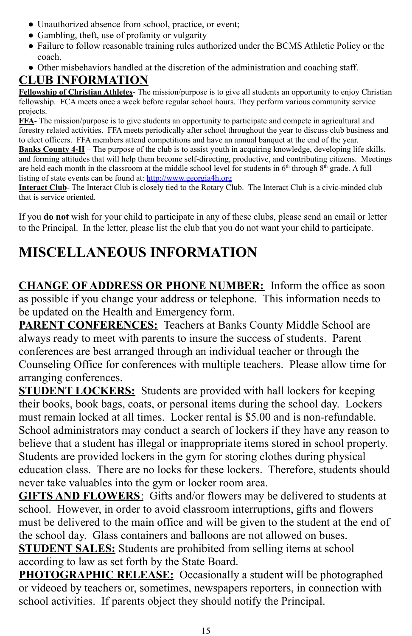- Unauthorized absence from school, practice, or event;
- Gambling, theft, use of profanity or vulgarity
- Failure to follow reasonable training rules authorized under the BCMS Athletic Policy or the coach.
- Other misbehaviors handled at the discretion of the administration and coaching staff.

## **CLUB INFORMATION**

**Fellowship of Christian Athletes**- The mission/purpose is to give all students an opportunity to enjoy Christian fellowship. FCA meets once a week before regular school hours. They perform various community service projects.

**FFA**- The mission/purpose is to give students an opportunity to participate and compete in agricultural and forestry related activities. FFA meets periodically after school throughout the year to discuss club business and to elect officers. FFA members attend competitions and have an annual banquet at the end of the year. **Banks County 4-H** – The purpose of the club is to assist youth in acquiring knowledge, developing life skills, and forming attitudes that will help them become self-directing, productive, and contributing citizens. Meetings are held each month in the classroom at the middle school level for students in  $6<sup>th</sup>$  through  $8<sup>th</sup>$  grade. A full listing of state events can be found at: <http://www.georgia4h.org>

**Interact Club**- The Interact Club is closely tied to the Rotary Club. The Interact Club is a civic-minded club that is service oriented.

If you **do not** wish for your child to participate in any of these clubs, please send an email or letter to the Principal. In the letter, please list the club that you do not want your child to participate.

# **MISCELLANEOUS INFORMATION**

**CHANGE OF ADDRESS OR PHONE NUMBER:** Inform the office as soon as possible if you change your address or telephone. This information needs to be updated on the Health and Emergency form.

**PARENT CONFERENCES:** Teachers at Banks County Middle School are always ready to meet with parents to insure the success of students. Parent conferences are best arranged through an individual teacher or through the Counseling Office for conferences with multiple teachers. Please allow time for arranging conferences.

**STUDENT LOCKERS:** Students are provided with hall lockers for keeping their books, book bags, coats, or personal items during the school day. Lockers must remain locked at all times. Locker rental is \$5.00 and is non-refundable. School administrators may conduct a search of lockers if they have any reason to believe that a student has illegal or inappropriate items stored in school property. Students are provided lockers in the gym for storing clothes during physical education class. There are no locks for these lockers. Therefore, students should never take valuables into the gym or locker room area.

**GIFTS AND FLOWERS**: Gifts and/or flowers may be delivered to students at school. However, in order to avoid classroom interruptions, gifts and flowers must be delivered to the main office and will be given to the student at the end of the school day. Glass containers and balloons are not allowed on buses.

**STUDENT SALES:** Students are prohibited from selling items at school according to law as set forth by the State Board.

**PHOTOGRAPHIC RELEASE:** Occasionally a student will be photographed or videoed by teachers or, sometimes, newspapers reporters, in connection with school activities. If parents object they should notify the Principal.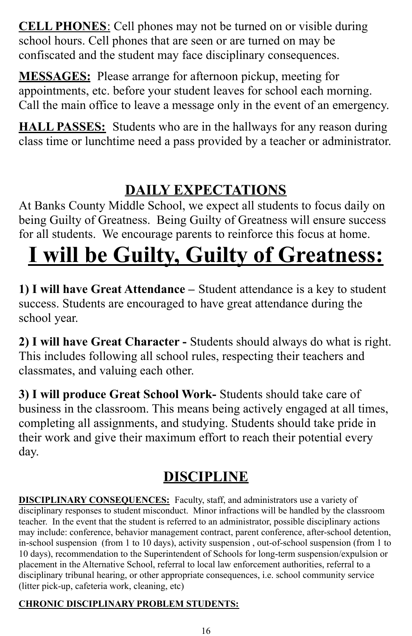**CELL PHONES**: Cell phones may not be turned on or visible during school hours. Cell phones that are seen or are turned on may be confiscated and the student may face disciplinary consequences.

**MESSAGES:** Please arrange for afternoon pickup, meeting for appointments, etc. before your student leaves for school each morning. Call the main office to leave a message only in the event of an emergency.

**HALL PASSES:** Students who are in the hallways for any reason during class time or lunchtime need a pass provided by a teacher or administrator.

# **DAILY EXPECTATIONS**

At Banks County Middle School, we expect all students to focus daily on being Guilty of Greatness. Being Guilty of Greatness will ensure success for all students. We encourage parents to reinforce this focus at home.

# **I will be Guilty, Guilty of Greatness:**

**1) I will have Great Attendance –** Student attendance is a key to student success. Students are encouraged to have great attendance during the school year.

**2) I will have Great Character -** Students should always do what is right. This includes following all school rules, respecting their teachers and classmates, and valuing each other.

**3) I will produce Great School Work-** Students should take care of business in the classroom. This means being actively engaged at all times, completing all assignments, and studying. Students should take pride in their work and give their maximum effort to reach their potential every day.

# **DISCIPLINE**

**DISCIPLINARY CONSEQUENCES:** Faculty, staff, and administrators use a variety of disciplinary responses to student misconduct. Minor infractions will be handled by the classroom teacher. In the event that the student is referred to an administrator, possible disciplinary actions may include: conference, behavior management contract, parent conference, after-school detention, in-school suspension (from 1 to 10 days), activity suspension , out-of-school suspension (from 1 to 10 days), recommendation to the Superintendent of Schools for long-term suspension/expulsion or placement in the Alternative School, referral to local law enforcement authorities, referral to a disciplinary tribunal hearing, or other appropriate consequences, i.e. school community service (litter pick-up, cafeteria work, cleaning, etc)

## **CHRONIC DISCIPLINARY PROBLEM STUDENTS:**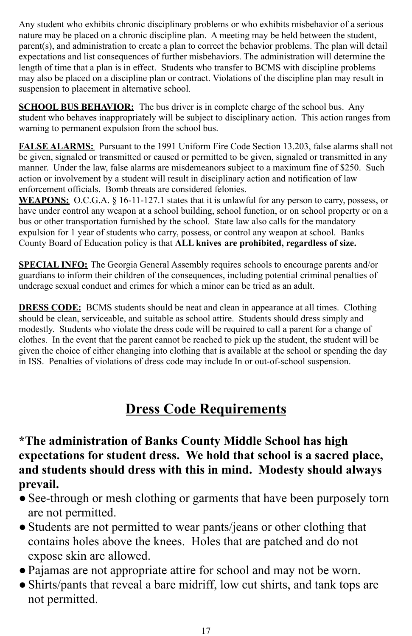Any student who exhibits chronic disciplinary problems or who exhibits misbehavior of a serious nature may be placed on a chronic discipline plan. A meeting may be held between the student, parent(s), and administration to create a plan to correct the behavior problems. The plan will detail expectations and list consequences of further misbehaviors. The administration will determine the length of time that a plan is in effect. Students who transfer to BCMS with discipline problems may also be placed on a discipline plan or contract. Violations of the discipline plan may result in suspension to placement in alternative school.

**SCHOOL BUS BEHAVIOR:** The bus driver is in complete charge of the school bus. Any student who behaves inappropriately will be subject to disciplinary action. This action ranges from warning to permanent expulsion from the school bus.

**FALSE ALARMS:** Pursuant to the 1991 Uniform Fire Code Section 13.203, false alarms shall not be given, signaled or transmitted or caused or permitted to be given, signaled or transmitted in any manner. Under the law, false alarms are misdemeanors subject to a maximum fine of \$250. Such action or involvement by a student will result in disciplinary action and notification of law enforcement officials. Bomb threats are considered felonies.

**WEAPONS:** O.C.G.A. § 16-11-127.1 states that it is unlawful for any person to carry, possess, or have under control any weapon at a school building, school function, or on school property or on a bus or other transportation furnished by the school. State law also calls for the mandatory expulsion for 1 year of students who carry, possess, or control any weapon at school. Banks County Board of Education policy is that **ALL knives are prohibited, regardless of size.**

**SPECIAL INFO:** The Georgia General Assembly requires schools to encourage parents and/or guardians to inform their children of the consequences, including potential criminal penalties of underage sexual conduct and crimes for which a minor can be tried as an adult.

**DRESS CODE:** BCMS students should be neat and clean in appearance at all times. Clothing should be clean, serviceable, and suitable as school attire. Students should dress simply and modestly. Students who violate the dress code will be required to call a parent for a change of clothes. In the event that the parent cannot be reached to pick up the student, the student will be given the choice of either changing into clothing that is available at the school or spending the day in ISS. Penalties of violations of dress code may include In or out-of-school suspension.

# **Dress Code Requirements**

## **\*The administration of Banks County Middle School has high expectations for student dress. We hold that school is a sacred place, and students should dress with this in mind. Modesty should always prevail.**

- See-through or mesh clothing or garments that have been purposely torn are not permitted.
- Students are not permitted to wear pants/jeans or other clothing that contains holes above the knees. Holes that are patched and do not expose skin are allowed.
- ●Pajamas are not appropriate attire for school and may not be worn.
- ●Shirts/pants that reveal a bare midriff, low cut shirts, and tank tops are not permitted.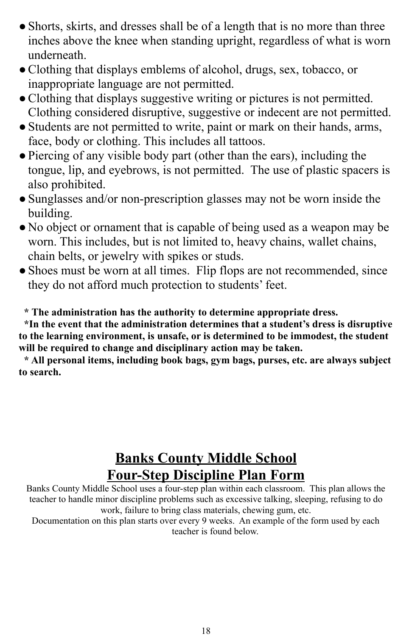- Shorts, skirts, and dresses shall be of a length that is no more than three inches above the knee when standing upright, regardless of what is worn underneath.
- ●Clothing that displays emblems of alcohol, drugs, sex, tobacco, or inappropriate language are not permitted.
- ●Clothing that displays suggestive writing or pictures is not permitted. Clothing considered disruptive, suggestive or indecent are not permitted.
- ●Students are not permitted to write, paint or mark on their hands, arms, face, body or clothing. This includes all tattoos.
- ●Piercing of any visible body part (other than the ears), including the tongue, lip, and eyebrows, is not permitted. The use of plastic spacers is also prohibited.
- Sunglasses and/or non-prescription glasses may not be worn inside the building.
- No object or ornament that is capable of being used as a weapon may be worn. This includes, but is not limited to, heavy chains, wallet chains, chain belts, or jewelry with spikes or studs.
- Shoes must be worn at all times. Flip flops are not recommended, since they do not afford much protection to students' feet.

**\* The administration has the authority to determine appropriate dress.**

**\*In the event that the administration determines that a student's dress is disruptive to the learning environment, is unsafe, or is determined to be immodest, the student will be required to change and disciplinary action may be taken.**

**\* All personal items, including book bags, gym bags, purses, etc. are always subject to search.**

## **Banks County Middle School Four-Step Discipline Plan Form**

Banks County Middle School uses a four-step plan within each classroom. This plan allows the teacher to handle minor discipline problems such as excessive talking, sleeping, refusing to do work, failure to bring class materials, chewing gum, etc.

Documentation on this plan starts over every 9 weeks. An example of the form used by each teacher is found below.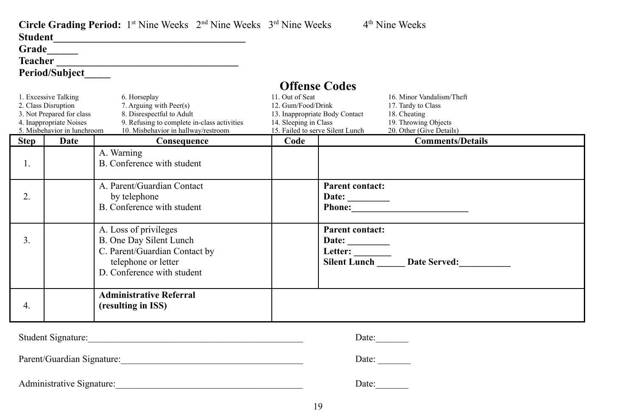|                  |                                                                                                                                    | <b>Circle Grading Period:</b> 1 <sup>st</sup> Nine Weeks $2nd$ Nine Weeks $3rd$ Nine Weeks<br>Student Management of the Communication of the Communication of the Communication of the Communication of the Communication of the Communication of the Communication of the Communication of the Communication of the Communi |                                                                |                                                                                            | 4 <sup>th</sup> Nine Weeks                                                                                          |
|------------------|------------------------------------------------------------------------------------------------------------------------------------|------------------------------------------------------------------------------------------------------------------------------------------------------------------------------------------------------------------------------------------------------------------------------------------------------------------------------|----------------------------------------------------------------|--------------------------------------------------------------------------------------------|---------------------------------------------------------------------------------------------------------------------|
|                  | Grade______                                                                                                                        |                                                                                                                                                                                                                                                                                                                              |                                                                |                                                                                            |                                                                                                                     |
|                  |                                                                                                                                    |                                                                                                                                                                                                                                                                                                                              |                                                                |                                                                                            |                                                                                                                     |
|                  | <b>Period/Subject</b>                                                                                                              |                                                                                                                                                                                                                                                                                                                              |                                                                |                                                                                            |                                                                                                                     |
|                  | 1. Excessive Talking<br>2. Class Disruption<br>3. Not Prepared for class<br>4. Inappropriate Noises<br>5. Misbehavior in lunchroom | 6. Horseplay<br>7. Arguing with Peer(s)<br>8. Disrespectful to Adult<br>9. Refusing to complete in-class activities<br>10. Misbehavior in hallway/restroom                                                                                                                                                                   | 11. Out of Seat<br>12. Gum/Food/Drink<br>14. Sleeping in Class | <b>Offense Codes</b><br>13. Inappropriate Body Contact<br>15. Failed to serve Silent Lunch | 16. Minor Vandalism/Theft<br>17. Tardy to Class<br>18. Cheating<br>19. Throwing Objects<br>20. Other (Give Details) |
| <b>Step</b>      | Date                                                                                                                               | Consequence                                                                                                                                                                                                                                                                                                                  | Code                                                           |                                                                                            | <b>Comments/Details</b>                                                                                             |
| 1.               |                                                                                                                                    | A. Warning<br>B. Conference with student                                                                                                                                                                                                                                                                                     |                                                                |                                                                                            |                                                                                                                     |
| 2.               |                                                                                                                                    | A. Parent/Guardian Contact<br>by telephone<br>B. Conference with student                                                                                                                                                                                                                                                     |                                                                | <b>Parent contact:</b><br>Date: $\_\_$                                                     |                                                                                                                     |
| 3.               |                                                                                                                                    | A. Loss of privileges<br>B. One Day Silent Lunch<br>C. Parent/Guardian Contact by<br>telephone or letter<br>D. Conference with student                                                                                                                                                                                       |                                                                | <b>Parent contact:</b><br>Date: $\_\_$                                                     |                                                                                                                     |
| $\overline{4}$ . |                                                                                                                                    | <b>Administrative Referral</b><br>(resulting in ISS)                                                                                                                                                                                                                                                                         |                                                                |                                                                                            |                                                                                                                     |
|                  | Student Signature:                                                                                                                 |                                                                                                                                                                                                                                                                                                                              |                                                                |                                                                                            | Date:________                                                                                                       |
|                  |                                                                                                                                    |                                                                                                                                                                                                                                                                                                                              |                                                                |                                                                                            | Date: $\_\_$                                                                                                        |

| Administrative Signature: |  |
|---------------------------|--|
|---------------------------|--|

Administrative Signature:\_\_\_\_\_\_\_\_\_\_\_\_\_\_\_\_\_\_\_\_\_\_\_\_\_\_\_\_\_\_\_\_\_\_\_\_\_\_\_\_ Date:\_\_\_\_\_\_\_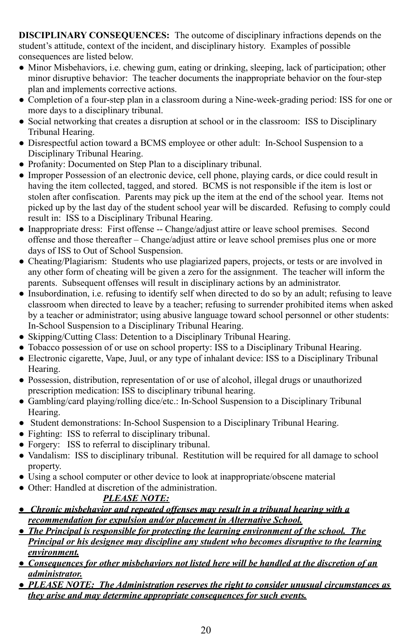**DISCIPLINARY CONSEQUENCES:** The outcome of disciplinary infractions depends on the student's attitude, context of the incident, and disciplinary history. Examples of possible consequences are listed below.

- Minor Misbehaviors, i.e. chewing gum, eating or drinking, sleeping, lack of participation; other minor disruptive behavior: The teacher documents the inappropriate behavior on the four-step plan and implements corrective actions.
- Completion of a four-step plan in a classroom during a Nine-week-grading period: ISS for one or more days to a disciplinary tribunal.
- Social networking that creates a disruption at school or in the classroom: ISS to Disciplinary Tribunal Hearing.
- Disrespectful action toward a BCMS employee or other adult: In-School Suspension to a Disciplinary Tribunal Hearing.
- Profanity: Documented on Step Plan to a disciplinary tribunal.
- Improper Possession of an electronic device, cell phone, playing cards, or dice could result in having the item collected, tagged, and stored. BCMS is not responsible if the item is lost or stolen after confiscation. Parents may pick up the item at the end of the school year. Items not picked up by the last day of the student school year will be discarded. Refusing to comply could result in: ISS to a Disciplinary Tribunal Hearing.
- Inappropriate dress: First offense -- Change/adjust attire or leave school premises. Second offense and those thereafter – Change/adjust attire or leave school premises plus one or more days of ISS to Out of School Suspension.
- Cheating/Plagiarism: Students who use plagiarized papers, projects, or tests or are involved in any other form of cheating will be given a zero for the assignment. The teacher will inform the parents. Subsequent offenses will result in disciplinary actions by an administrator.
- Insubordination, i.e. refusing to identify self when directed to do so by an adult; refusing to leave classroom when directed to leave by a teacher; refusing to surrender prohibited items when asked by a teacher or administrator; using abusive language toward school personnel or other students: In-School Suspension to a Disciplinary Tribunal Hearing.
- Skipping/Cutting Class: Detention to a Disciplinary Tribunal Hearing.
- Tobacco possession of or use on school property: ISS to a Disciplinary Tribunal Hearing.
- Electronic cigarette, Vape, Juul, or any type of inhalant device: ISS to a Disciplinary Tribunal Hearing.
- Possession, distribution, representation of or use of alcohol, illegal drugs or unauthorized prescription medication: ISS to disciplinary tribunal hearing.
- Gambling/card playing/rolling dice/etc.: In-School Suspension to a Disciplinary Tribunal Hearing.
- Student demonstrations: In-School Suspension to a Disciplinary Tribunal Hearing.
- Fighting: ISS to referral to disciplinary tribunal.
- Forgery: ISS to referral to disciplinary tribunal.
- Vandalism: ISS to disciplinary tribunal. Restitution will be required for all damage to school property.
- Using a school computer or other device to look at inappropriate/obscene material
- Other: Handled at discretion of the administration.

## *PLEASE NOTE:*

- *Chronic misbehavior and repeated offenses may result in a tribunal hearing with a recommendation for expulsion and/or placement in Alternative School.*
- *The Principal is responsible for protecting the learning environment of the school. The Principal or his designee may discipline any student who becomes disruptive to the learning environment.*
- *Consequences for other misbehaviors not listed here will be handled at the discretion of an administrator.*
- *PLEASE NOTE: The Administration reserves the right to consider unusual circumstances as they arise and may determine appropriate consequences for such events.*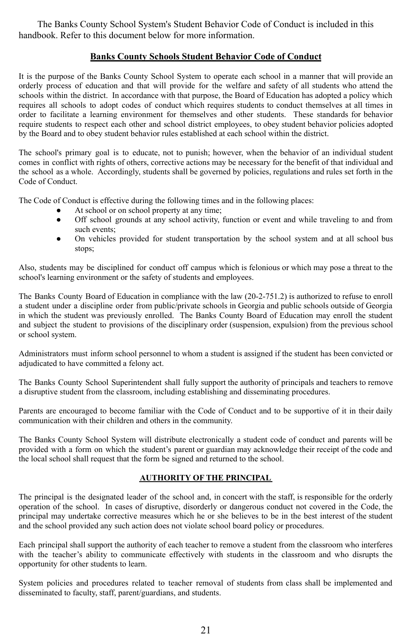The Banks County School System's Student Behavior Code of Conduct is included in this handbook. Refer to this document below for more information.

#### **Banks County Schools Student Behavior Code of Conduct**

It is the purpose of the Banks County School System to operate each school in a manner that will provide an orderly process of education and that will provide for the welfare and safety of all students who attend the schools within the district. In accordance with that purpose, the Board of Education has adopted a policy which requires all schools to adopt codes of conduct which requires students to conduct themselves at all times in order to facilitate a learning environment for themselves and other students. These standards for behavior require students to respect each other and school district employees, to obey student behavior policies adopted by the Board and to obey student behavior rules established at each school within the district.

The school's primary goal is to educate, not to punish; however, when the behavior of an individual student comes in conflict with rights of others, corrective actions may be necessary for the benefit of that individual and the school as a whole. Accordingly, students shall be governed by policies, regulations and rules set forth in the Code of Conduct.

The Code of Conduct is effective during the following times and in the following places:

- At school or on school property at any time;
- Off school grounds at any school activity, function or event and while traveling to and from such events;
- On vehicles provided for student transportation by the school system and at all school bus stops;

Also, students may be disciplined for conduct off campus which is felonious or which may pose a threat to the school's learning environment or the safety of students and employees.

The Banks County Board of Education in compliance with the law (20-2-751.2) is authorized to refuse to enroll a student under a discipline order from public/private schools in Georgia and public schools outside of Georgia in which the student was previously enrolled. The Banks County Board of Education may enroll the student and subject the student to provisions of the disciplinary order (suspension, expulsion) from the previous school or school system.

Administrators must inform school personnel to whom a student is assigned if the student has been convicted or adjudicated to have committed a felony act.

The Banks County School Superintendent shall fully support the authority of principals and teachers to remove a disruptive student from the classroom, including establishing and disseminating procedures.

Parents are encouraged to become familiar with the Code of Conduct and to be supportive of it in their daily communication with their children and others in the community.

The Banks County School System will distribute electronically a student code of conduct and parents will be provided with a form on which the student's parent or guardian may acknowledge their receipt of the code and the local school shall request that the form be signed and returned to the school.

#### **AUTHORITY OF THE PRINCIPAL**

The principal is the designated leader of the school and, in concert with the staff, is responsible for the orderly operation of the school. In cases of disruptive, disorderly or dangerous conduct not covered in the Code, the principal may undertake corrective measures which he or she believes to be in the best interest of the student and the school provided any such action does not violate school board policy or procedures.

Each principal shall support the authority of each teacher to remove a student from the classroom who interferes with the teacher's ability to communicate effectively with students in the classroom and who disrupts the opportunity for other students to learn.

System policies and procedures related to teacher removal of students from class shall be implemented and disseminated to faculty, staff, parent/guardians, and students.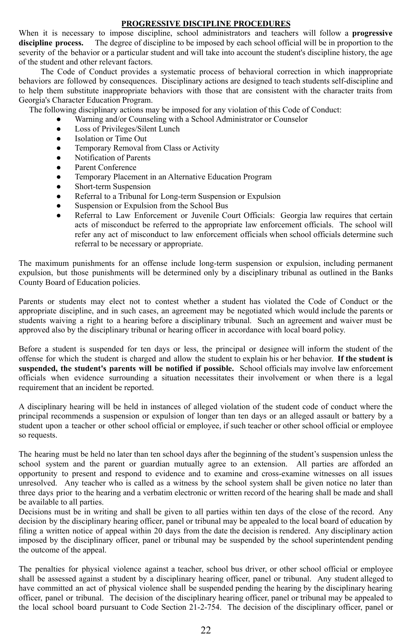#### **PROGRESSIVE DISCIPLINE PROCEDURES**

When it is necessary to impose discipline, school administrators and teachers will follow a **progressive discipline process.** The degree of discipline to be imposed by each school official will be in proportion to the severity of the behavior or a particular student and will take into account the student's discipline history, the age of the student and other relevant factors.

The Code of Conduct provides a systematic process of behavioral correction in which inappropriate behaviors are followed by consequences. Disciplinary actions are designed to teach students self-discipline and to help them substitute inappropriate behaviors with those that are consistent with the character traits from Georgia's Character Education Program.

The following disciplinary actions may be imposed for any violation of this Code of Conduct:

- Warning and/or Counseling with a School Administrator or Counselor
- Loss of Privileges/Silent Lunch
- **Isolation or Time Out**
- Temporary Removal from Class or Activity
- Notification of Parents
- Parent Conference
- Temporary Placement in an Alternative Education Program
- Short-term Suspension
- Referral to a Tribunal for Long-term Suspension or Expulsion
- Suspension or Expulsion from the School Bus
- Referral to Law Enforcement or Juvenile Court Officials: Georgia law requires that certain acts of misconduct be referred to the appropriate law enforcement officials. The school will refer any act of misconduct to law enforcement officials when school officials determine such referral to be necessary or appropriate.

The maximum punishments for an offense include long-term suspension or expulsion, including permanent expulsion, but those punishments will be determined only by a disciplinary tribunal as outlined in the Banks County Board of Education policies.

Parents or students may elect not to contest whether a student has violated the Code of Conduct or the appropriate discipline, and in such cases, an agreement may be negotiated which would include the parents or students waiving a right to a hearing before a disciplinary tribunal. Such an agreement and waiver must be approved also by the disciplinary tribunal or hearing officer in accordance with local board policy.

Before a student is suspended for ten days or less, the principal or designee will inform the student of the offense for which the student is charged and allow the student to explain his or her behavior. **If the student is suspended, the student's parents will be notified if possible.** School officials may involve law enforcement officials when evidence surrounding a situation necessitates their involvement or when there is a legal requirement that an incident be reported.

A disciplinary hearing will be held in instances of alleged violation of the student code of conduct where the principal recommends a suspension or expulsion of longer than ten days or an alleged assault or battery by a student upon a teacher or other school official or employee, if such teacher or other school official or employee so requests.

The hearing must be held no later than ten school days after the beginning of the student's suspension unless the school system and the parent or guardian mutually agree to an extension. All parties are afforded an opportunity to present and respond to evidence and to examine and cross-examine witnesses on all issues unresolved. Any teacher who is called as a witness by the school system shall be given notice no later than three days prior to the hearing and a verbatim electronic or written record of the hearing shall be made and shall be available to all parties.

Decisions must be in writing and shall be given to all parties within ten days of the close of the record. Any decision by the disciplinary hearing officer, panel or tribunal may be appealed to the local board of education by filing a written notice of appeal within 20 days from the date the decision is rendered. Any disciplinary action imposed by the disciplinary officer, panel or tribunal may be suspended by the school superintendent pending the outcome of the appeal.

The penalties for physical violence against a teacher, school bus driver, or other school official or employee shall be assessed against a student by a disciplinary hearing officer, panel or tribunal. Any student alleged to have committed an act of physical violence shall be suspended pending the hearing by the disciplinary hearing officer, panel or tribunal. The decision of the disciplinary hearing officer, panel or tribunal may be appealed to the local school board pursuant to Code Section 21-2-754. The decision of the disciplinary officer, panel or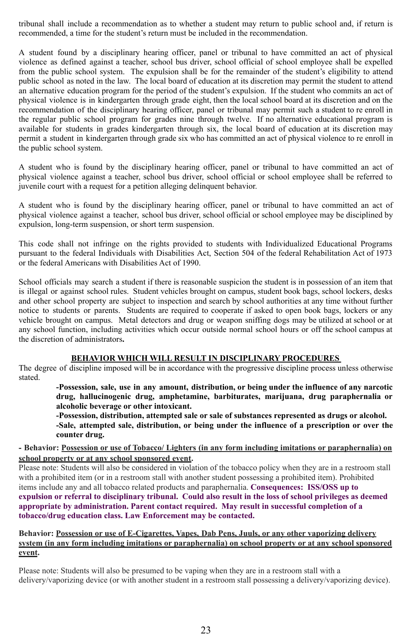tribunal shall include a recommendation as to whether a student may return to public school and, if return is recommended, a time for the student's return must be included in the recommendation.

A student found by a disciplinary hearing officer, panel or tribunal to have committed an act of physical violence as defined against a teacher, school bus driver, school official of school employee shall be expelled from the public school system. The expulsion shall be for the remainder of the student's eligibility to attend public school as noted in the law. The local board of education at its discretion may permit the student to attend an alternative education program for the period of the student's expulsion. If the student who commits an act of physical violence is in kindergarten through grade eight, then the local school board at its discretion and on the recommendation of the disciplinary hearing officer, panel or tribunal may permit such a student to re enroll in the regular public school program for grades nine through twelve. If no alternative educational program is available for students in grades kindergarten through six, the local board of education at its discretion may permit a student in kindergarten through grade six who has committed an act of physical violence to re enroll in the public school system.

A student who is found by the disciplinary hearing officer, panel or tribunal to have committed an act of physical violence against a teacher, school bus driver, school official or school employee shall be referred to juvenile court with a request for a petition alleging delinquent behavior.

A student who is found by the disciplinary hearing officer, panel or tribunal to have committed an act of physical violence against a teacher, school bus driver, school official or school employee may be disciplined by expulsion, long-term suspension, or short term suspension.

This code shall not infringe on the rights provided to students with Individualized Educational Programs pursuant to the federal Individuals with Disabilities Act, Section 504 of the federal Rehabilitation Act of 1973 or the federal Americans with Disabilities Act of 1990.

School officials may search a student if there is reasonable suspicion the student is in possession of an item that is illegal or against school rules. Student vehicles brought on campus, student book bags, school lockers, desks and other school property are subject to inspection and search by school authorities at any time without further notice to students or parents. Students are required to cooperate if asked to open book bags, lockers or any vehicle brought on campus. Metal detectors and drug or weapon sniffing dogs may be utilized at school or at any school function, including activities which occur outside normal school hours or off the school campus at the discretion of administrators**.**

#### **BEHAVIOR WHICH WILL RESULT IN DISCIPLINARY PROCEDURES**

The degree of discipline imposed will be in accordance with the progressive discipline process unless otherwise stated.

**-Possession, sale, use in any amount, distribution, or being under the influence of any narcotic drug, hallucinogenic drug, amphetamine, barbiturates, marijuana, drug paraphernalia or alcoholic beverage or other intoxicant.**

**-Possession, distribution, attempted sale or sale of substances represented as drugs or alcohol. -Sale, attempted sale, distribution, or being under the influence of a prescription or over the counter drug.**

**- Behavior: Possession or use of Tobacco/ Lighters (in any form including imitations or paraphernalia) on school property or at any school sponsored event.**

Please note: Students will also be considered in violation of the tobacco policy when they are in a restroom stall with a prohibited item (or in a restroom stall with another student possessing a prohibited item). Prohibited items include any and all tobacco related products and paraphernalia. **Consequences: ISS/OSS up to** expulsion or referral to disciplinary tribunal. Could also result in the loss of school privileges as deemed

**appropriate by administration. Parent contact required. May result in successful completion of a tobacco/drug education class. Law Enforcement may be contacted.**

#### **Behavior: Possession or use of E-Cigarettes, Vapes, Dab Pens, Juuls, or any other vaporizing delivery system (in any form including imitations or paraphernalia) on school property or at any school sponsored event.**

Please note: Students will also be presumed to be vaping when they are in a restroom stall with a delivery/vaporizing device (or with another student in a restroom stall possessing a delivery/vaporizing device).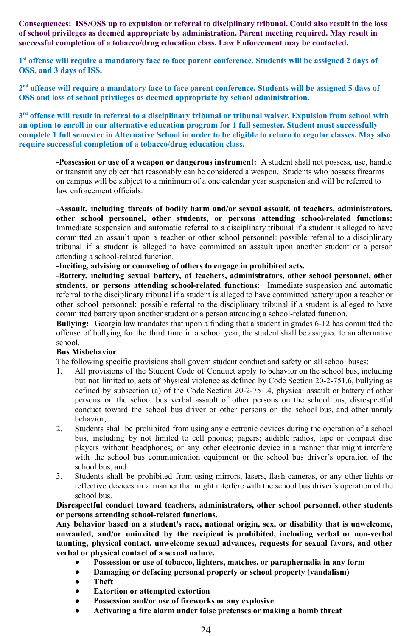**Consequences: ISS/OSS up to expulsion or referral to disciplinary tribunal. Could also result in the loss of school privileges as deemed appropriate by administration. Parent meeting required. May result in successful completion of a tobacco/drug education class. Law Enforcement may be contacted.**

1st offense will require a mandatory face to face parent conference. Students will be assigned 2 days of **OSS, and 3 days of ISS.**

2<sup>nd</sup> offense will require a mandatory face to face parent conference. Students will be assigned 5 days of **OSS and loss of school privileges as deemed appropriate by school administration.**

3<sup>rd</sup> offense will result in referral to a disciplinary tribunal or tribunal waiver. Expulsion from school with **an option to enroll in our alternative education program for 1 full semester. Student must successfully** complete 1 full semester in Alternative School in order to be eligible to return to regular classes. May also **require successful completion of a tobacco/drug education class.**

**-Possession or use of a weapon or dangerous instrument:** A student shall not possess, use, handle or transmit any object that reasonably can be considered a weapon. Students who possess firearms on campus will be subject to a minimum of a one calendar year suspension and will be referred to law enforcement officials.

**-Assault, including threats of bodily harm and/or sexual assault, of teachers, administrators, other school personnel, other students, or persons attending school-related functions:** Immediate suspension and automatic referral to a disciplinary tribunal if a student is alleged to have committed an assault upon a teacher or other school personnel: possible referral to a disciplinary tribunal if a student is alleged to have committed an assault upon another student or a person attending a school-related function.

**-Inciting, advising or counseling of others to engage in prohibited acts.**

**-Battery, including sexual battery, of teachers, administrators, other school personnel, other students, or persons attending school-related functions:** Immediate suspension and automatic referral to the disciplinary tribunal if a student is alleged to have committed battery upon a teacher or other school personnel; possible referral to the disciplinary tribunal if a student is alleged to have committed battery upon another student or a person attending a school-related function.

**Bullying:** Georgia law mandates that upon a finding that a student in grades 6-12 has committed the offense of bullying for the third time in a school year, the student shall be assigned to an alternative school.

#### **Bus Misbehavior**

The following specific provisions shall govern student conduct and safety on all school buses:

- 1. All provisions of the Student Code of Conduct apply to behavior on the school bus, including but not limited to, acts of physical violence as defined by Code Section 20-2-751.6, bullying as defined by subsection (a) of the Code Section 20-2-751.4, physical assault or battery of other persons on the school bus verbal assault of other persons on the school bus, disrespectful conduct toward the school bus driver or other persons on the school bus, and other unruly behavior;
- 2. Students shall be prohibited from using any electronic devices during the operation of a school bus, including by not limited to cell phones; pagers; audible radios, tape or compact disc players without headphones; or any other electronic device in a manner that might interfere with the school bus communication equipment or the school bus driver's operation of the school bus; and
- 3. Students shall be prohibited from using mirrors, lasers, flash cameras, or any other lights or reflective devices in a manner that might interfere with the school bus driver's operation of the school bus.

**Disrespectful conduct toward teachers, administrators, other school personnel, other students or persons attending school-related functions.**

**Any behavior based on a student's race, national origin, sex, or disability that is unwelcome, unwanted, and/or uninvited by the recipient is prohibited, including verbal or non-verbal taunting, physical contact, unwelcome sexual advances, requests for sexual favors, and other verbal or physical contact of a sexual nature.**

- **Possession or use of tobacco, lighters, matches, or paraphernalia in any form**
- **Damaging or defacing personal property or school property (vandalism)**
- **Theft**
- **Extortion or attempted extortion**
- **Possession and/or use of fireworks or any explosive**
- **Activating a fire alarm under false pretenses or making a bomb threat**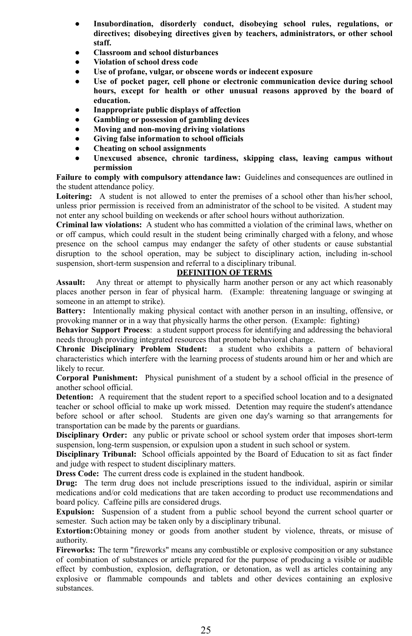- **Insubordination, disorderly conduct, disobeying school rules, regulations, or directives; disobeying directives given by teachers, administrators, or other school staff.**
- **Classroom and school disturbances**
- **Violation of school dress code**
- **Use of profane, vulgar, or obscene words or indecent exposure**
- **Use of pocket pager, cell phone or electronic communication device during school hours, except for health or other unusual reasons approved by the board of education.**
- **Inappropriate public displays of affection**
- **Gambling or possession of gambling devices**
- **Moving and non-moving driving violations**
- **Giving false information to school officials**
- **Cheating on school assignments**
- **Unexcused absence, chronic tardiness, skipping class, leaving campus without permission**

**Failure to comply with compulsory attendance law:** Guidelines and consequences are outlined in the student attendance policy.

Loitering: A student is not allowed to enter the premises of a school other than his/her school, unless prior permission is received from an administrator of the school to be visited. A student may not enter any school building on weekends or after school hours without authorization.

**Criminal law violations:** A student who has committed a violation of the criminal laws, whether on or off campus, which could result in the student being criminally charged with a felony, and whose presence on the school campus may endanger the safety of other students or cause substantial disruption to the school operation, may be subject to disciplinary action, including in-school suspension, short-term suspension and referral to a disciplinary tribunal.

#### **DEFINITION OF TERMS**

**Assault:** Any threat or attempt to physically harm another person or any act which reasonably places another person in fear of physical harm. (Example: threatening language or swinging at someone in an attempt to strike).

**Battery:** Intentionally making physical contact with another person in an insulting, offensive, or provoking manner or in a way that physically harms the other person. (Example: fighting)

**Behavior Support Process**: a student support process for identifying and addressing the behavioral needs through providing integrated resources that promote behavioral change.

**Chronic Disciplinary Problem Student:** a student who exhibits a pattern of behavioral characteristics which interfere with the learning process of students around him or her and which are likely to recur.

**Corporal Punishment:** Physical punishment of a student by a school official in the presence of another school official.

**Detention:** A requirement that the student report to a specified school location and to a designated teacher or school official to make up work missed. Detention may require the student's attendance before school or after school. Students are given one day's warning so that arrangements for transportation can be made by the parents or guardians.

**Disciplinary Order:** any public or private school or school system order that imposes short-term suspension, long-term suspension, or expulsion upon a student in such school or system.

**Disciplinary Tribunal:** School officials appointed by the Board of Education to sit as fact finder and judge with respect to student disciplinary matters.

**Dress Code:** The current dress code is explained in the student handbook.

**Drug:** The term drug does not include prescriptions issued to the individual, aspirin or similar medications and/or cold medications that are taken according to product use recommendations and board policy. Caffeine pills are considered drugs.

**Expulsion:** Suspension of a student from a public school beyond the current school quarter or semester. Such action may be taken only by a disciplinary tribunal.

**Extortion:**Obtaining money or goods from another student by violence, threats, or misuse of authority.

**Fireworks:** The term "fireworks" means any combustible or explosive composition or any substance of combination of substances or article prepared for the purpose of producing a visible or audible effect by combustion, explosion, deflagration, or detonation, as well as articles containing any explosive or flammable compounds and tablets and other devices containing an explosive substances.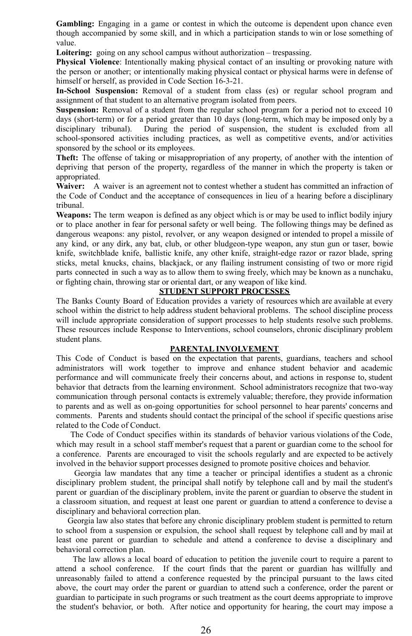**Gambling:** Engaging in a game or contest in which the outcome is dependent upon chance even though accompanied by some skill, and in which a participation stands to win or lose something of value.

**Loitering:** going on any school campus without authorization – trespassing.

**Physical Violence**: Intentionally making physical contact of an insulting or provoking nature with the person or another; or intentionally making physical contact or physical harms were in defense of himself or herself, as provided in Code Section 16-3-21.

**In-School Suspension:** Removal of a student from class (es) or regular school program and assignment of that student to an alternative program isolated from peers.

**Suspension:** Removal of a student from the regular school program for a period not to exceed 10 days (short-term) or for a period greater than 10 days (long-term, which may be imposed only by a disciplinary tribunal). During the period of suspension, the student is excluded from all school-sponsored activities including practices, as well as competitive events, and/or activities sponsored by the school or its employees.

**Theft:** The offense of taking or misappropriation of any property, of another with the intention of depriving that person of the property, regardless of the manner in which the property is taken or appropriated.

**Waiver:** A waiver is an agreement not to contest whether a student has committed an infraction of the Code of Conduct and the acceptance of consequences in lieu of a hearing before a disciplinary tribunal.

**Weapons:** The term weapon is defined as any object which is or may be used to inflict bodily injury or to place another in fear for personal safety or well being. The following things may be defined as dangerous weapons: any pistol, revolver, or any weapon designed or intended to propel a missile of any kind, or any dirk, any bat, club, or other bludgeon-type weapon, any stun gun or taser, bowie knife, switchblade knife, ballistic knife, any other knife, straight-edge razor or razor blade, spring sticks, metal knucks, chains, blackjack, or any flailing instrument consisting of two or more rigid parts connected in such a way as to allow them to swing freely, which may be known as a nunchaku, or fighting chain, throwing star or oriental dart, or any weapon of like kind.

#### **STUDENT SUPPORT PROCESSES**

The Banks County Board of Education provides a variety of resources which are available at every school within the district to help address student behavioral problems. The school discipline process will include appropriate consideration of support processes to help students resolve such problems. These resources include Response to Interventions, school counselors, chronic disciplinary problem student plans.

#### **PARENTAL INVOLVEMENT**

This Code of Conduct is based on the expectation that parents, guardians, teachers and school administrators will work together to improve and enhance student behavior and academic performance and will communicate freely their concerns about, and actions in response to, student behavior that detracts from the learning environment. School administrators recognize that two-way communication through personal contacts is extremely valuable; therefore, they provide information to parents and as well as on-going opportunities for school personnel to hear parents' concerns and comments. Parents and students should contact the principal of the school if specific questions arise related to the Code of Conduct.

The Code of Conduct specifies within its standards of behavior various violations of the Code, which may result in a school staff member's request that a parent or guardian come to the school for a conference. Parents are encouraged to visit the schools regularly and are expected to be actively involved in the behavior support processes designed to promote positive choices and behavior.

Georgia law mandates that any time a teacher or principal identifies a student as a chronic disciplinary problem student, the principal shall notify by telephone call and by mail the student's parent or guardian of the disciplinary problem, invite the parent or guardian to observe the student in a classroom situation, and request at least one parent or guardian to attend a conference to devise a disciplinary and behavioral correction plan.

Georgia law also states that before any chronic disciplinary problem student is permitted to return to school from a suspension or expulsion, the school shall request by telephone call and by mail at least one parent or guardian to schedule and attend a conference to devise a disciplinary and behavioral correction plan.

The law allows a local board of education to petition the juvenile court to require a parent to attend a school conference. If the court finds that the parent or guardian has willfully and unreasonably failed to attend a conference requested by the principal pursuant to the laws cited above, the court may order the parent or guardian to attend such a conference, order the parent or guardian to participate in such programs or such treatment as the court deems appropriate to improve the student's behavior, or both. After notice and opportunity for hearing, the court may impose a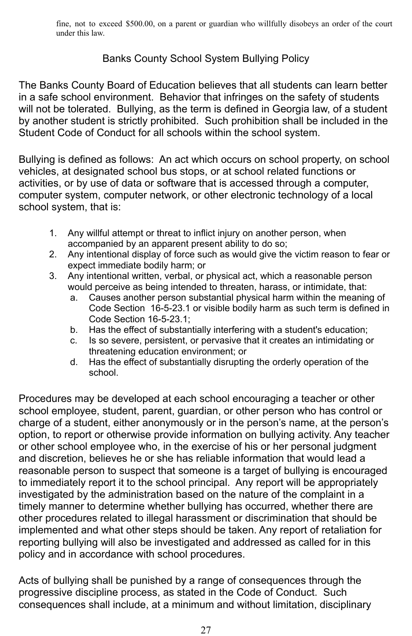fine, not to exceed \$500.00, on a parent or guardian who willfully disobeys an order of the court under this law.

## Banks County School System Bullying Policy

The Banks County Board of Education believes that all students can learn better in a safe school environment. Behavior that infringes on the safety of students will not be tolerated. Bullying, as the term is defined in Georgia law, of a student by another student is strictly prohibited. Such prohibition shall be included in the Student Code of Conduct for all schools within the school system.

Bullying is defined as follows: An act which occurs on school property, on school vehicles, at designated school bus stops, or at school related functions or activities, or by use of data or software that is accessed through a computer, computer system, computer network, or other electronic technology of a local school system, that is:

- 1. Any willful attempt or threat to inflict injury on another person, when accompanied by an apparent present ability to do so;
- 2. Any intentional display of force such as would give the victim reason to fear or expect immediate bodily harm; or
- 3. Any intentional written, verbal, or physical act, which a reasonable person would perceive as being intended to threaten, harass, or intimidate, that:
	- a. Causes another person substantial physical harm within the meaning of Code Section 16-5-23.1 or visible bodily harm as such term is defined in Code Section 16-5-23.1;
	- b. Has the effect of substantially interfering with a student's education;
	- c. Is so severe, persistent, or pervasive that it creates an intimidating or threatening education environment; or
	- d. Has the effect of substantially disrupting the orderly operation of the school.

Procedures may be developed at each school encouraging a teacher or other school employee, student, parent, guardian, or other person who has control or charge of a student, either anonymously or in the person's name, at the person's option, to report or otherwise provide information on bullying activity. Any teacher or other school employee who, in the exercise of his or her personal judgment and discretion, believes he or she has reliable information that would lead a reasonable person to suspect that someone is a target of bullying is encouraged to immediately report it to the school principal. Any report will be appropriately investigated by the administration based on the nature of the complaint in a timely manner to determine whether bullying has occurred, whether there are other procedures related to illegal harassment or discrimination that should be implemented and what other steps should be taken. Any report of retaliation for reporting bullying will also be investigated and addressed as called for in this policy and in accordance with school procedures.

Acts of bullying shall be punished by a range of consequences through the progressive discipline process, as stated in the Code of Conduct. Such consequences shall include, at a minimum and without limitation, disciplinary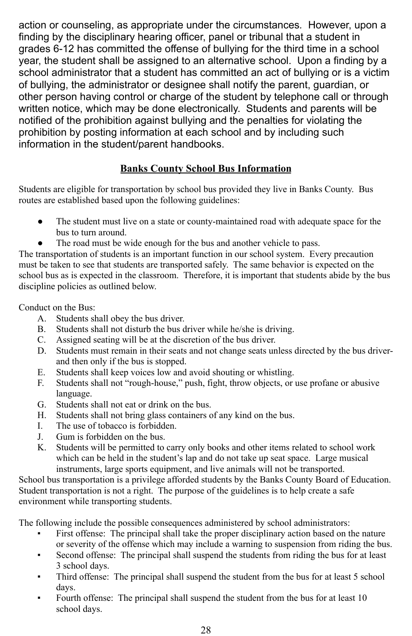action or counseling, as appropriate under the circumstances*.* However, upon a finding by the disciplinary hearing officer, panel or tribunal that a student in grades 6-12 has committed the offense of bullying for the third time in a school year, the student shall be assigned to an alternative school. Upon a finding by a school administrator that a student has committed an act of bullying or is a victim of bullying, the administrator or designee shall notify the parent, guardian, or other person having control or charge of the student by telephone call or through written notice, which may be done electronically. Students and parents will be notified of the prohibition against bullying and the penalties for violating the prohibition by posting information at each school and by including such information in the student/parent handbooks.

## **Banks County School Bus Information**

Students are eligible for transportation by school bus provided they live in Banks County. Bus routes are established based upon the following guidelines:

- The student must live on a state or county-maintained road with adequate space for the bus to turn around.
- The road must be wide enough for the bus and another vehicle to pass.

The transportation of students is an important function in our school system. Every precaution must be taken to see that students are transported safely. The same behavior is expected on the school bus as is expected in the classroom. Therefore, it is important that students abide by the bus discipline policies as outlined below.

Conduct on the Bus:

- A. Students shall obey the bus driver.
- B. Students shall not disturb the bus driver while he/she is driving.
- C. Assigned seating will be at the discretion of the bus driver.
- D. Students must remain in their seats and not change seats unless directed by the bus driverand then only if the bus is stopped.
- E. Students shall keep voices low and avoid shouting or whistling.
- F. Students shall not "rough-house," push, fight, throw objects, or use profane or abusive language.
- G. Students shall not eat or drink on the bus.
- H. Students shall not bring glass containers of any kind on the bus.
- I. The use of tobacco is forbidden.
- J. Gum is forbidden on the bus.
- K. Students will be permitted to carry only books and other items related to school work which can be held in the student's lap and do not take up seat space. Large musical instruments, large sports equipment, and live animals will not be transported.

School bus transportation is a privilege afforded students by the Banks County Board of Education. Student transportation is not a right. The purpose of the guidelines is to help create a safe environment while transporting students.

The following include the possible consequences administered by school administrators:

- First offense: The principal shall take the proper disciplinary action based on the nature or severity of the offense which may include a warning to suspension from riding the bus.
- Second offense: The principal shall suspend the students from riding the bus for at least 3 school days.
- Third offense: The principal shall suspend the student from the bus for at least 5 school days.
- Fourth offense: The principal shall suspend the student from the bus for at least 10 school days.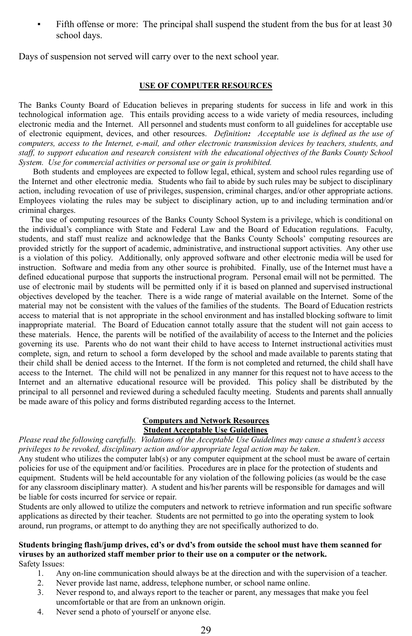Fifth offense or more: The principal shall suspend the student from the bus for at least 30 school days.

Days of suspension not served will carry over to the next school year.

#### **USE OF COMPUTER RESOURCES**

The Banks County Board of Education believes in preparing students for success in life and work in this technological information age. This entails providing access to a wide variety of media resources, including electronic media and the Internet. All personnel and students must conform to all guidelines for acceptable use of electronic equipment, devices, and other resources. *Definition: Acceptable use is defined as the use of computers, access to the Internet, e-mail, and other electronic transmission devices by teachers, students, and* staff, to support education and research consistent with the educational objectives of the Banks County School *System. Use for commercial activities or personal use or gain is prohibited.*

Both students and employees are expected to follow legal, ethical, system and school rules regarding use of the Internet and other electronic media. Students who fail to abide by such rules may be subject to disciplinary action, including revocation of use of privileges, suspension, criminal charges, and/or other appropriate actions. Employees violating the rules may be subject to disciplinary action, up to and including termination and/or criminal charges.

The use of computing resources of the Banks County School System is a privilege, which is conditional on the individual's compliance with State and Federal Law and the Board of Education regulations. Faculty, students, and staff must realize and acknowledge that the Banks County Schools' computing resources are provided strictly for the support of academic, administrative, and instructional support activities. Any other use is a violation of this policy. Additionally, only approved software and other electronic media will be used for instruction. Software and media from any other source is prohibited. Finally, use of the Internet must have a defined educational purpose that supports the instructional program. Personal email will not be permitted. The use of electronic mail by students will be permitted only if it is based on planned and supervised instructional objectives developed by the teacher. There is a wide range of material available on the Internet. Some of the material may not be consistent with the values of the families of the students. The Board of Education restricts access to material that is not appropriate in the school environment and has installed blocking software to limit inappropriate material. The Board of Education cannot totally assure that the student will not gain access to these materials. Hence, the parents will be notified of the availability of access to the Internet and the policies governing its use. Parents who do not want their child to have access to Internet instructional activities must complete, sign, and return to school a form developed by the school and made available to parents stating that their child shall be denied access to the Internet. If the form is not completed and returned, the child shall have access to the Internet. The child will not be penalized in any manner for this request not to have access to the Internet and an alternative educational resource will be provided. This policy shall be distributed by the principal to all personnel and reviewed during a scheduled faculty meeting. Students and parents shall annually be made aware of this policy and forms distributed regarding access to the Internet.

#### **Computers and Network Resources Student Acceptable Use Guidelines**

*Please read the following carefully. Violations of the Acceptable Use Guidelines may cause a student's access privileges to be revoked, disciplinary action and/or appropriate legal action may be taken*.

Any student who utilizes the computer lab(s) or any computer equipment at the school must be aware of certain policies for use of the equipment and/or facilities. Procedures are in place for the protection of students and equipment. Students will be held accountable for any violation of the following policies (as would be the case for any classroom disciplinary matter). A student and his/her parents will be responsible for damages and will be liable for costs incurred for service or repair.

Students are only allowed to utilize the computers and network to retrieve information and run specific software applications as directed by their teacher. Students are not permitted to go into the operating system to look around, run programs, or attempt to do anything they are not specifically authorized to do.

### **Students bringing flash/jump drives, cd's or dvd's from outside the school must have them scanned for viruses by an authorized staff member prior to their use on a computer or the network.**

Safety Issues:

- 1. Any on-line communication should always be at the direction and with the supervision of a teacher.
- 2. Never provide last name, address, telephone number, or school name online.
- 3. Never respond to, and always report to the teacher or parent, any messages that make you feel uncomfortable or that are from an unknown origin.
- 4. Never send a photo of yourself or anyone else.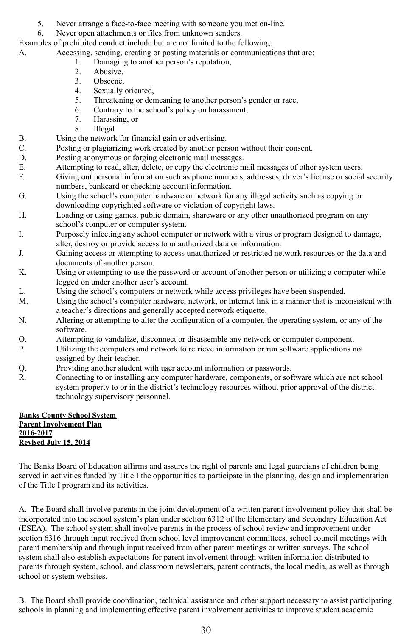- 5. Never arrange a face-to-face meeting with someone you met on-line.
- 6. Never open attachments or files from unknown senders.

Examples of prohibited conduct include but are not limited to the following:

- A. Accessing, sending, creating or posting materials or communications that are:
	- 1. Damaging to another person's reputation,<br>2. Abusive.
		- Abusive.
		- 3. Obscene,
		- 4. Sexually oriented,
		- 5. Threatening or demeaning to another person's gender or race,
		- 6. Contrary to the school's policy on harassment,
		- 7. Harassing, or
	- 8. Illegal
- B. Using the network for financial gain or advertising.<br>C. Posting or plagiarizing work created by another per
- Posting or plagiarizing work created by another person without their consent.
- D. Posting anonymous or forging electronic mail messages.
- E. Attempting to read, alter, delete, or copy the electronic mail messages of other system users.<br>F. Giving out personal information such as phone numbers, addresses, driver's license or social
- Giving out personal information such as phone numbers, addresses, driver's license or social security numbers, bankcard or checking account information.
- G. Using the school's computer hardware or network for any illegal activity such as copying or downloading copyrighted software or violation of copyright laws.
- H. Loading or using games, public domain, shareware or any other unauthorized program on any school's computer or computer system.
- I. Purposely infecting any school computer or network with a virus or program designed to damage, alter, destroy or provide access to unauthorized data or information.
- J. Gaining access or attempting to access unauthorized or restricted network resources or the data and documents of another person.
- K. Using or attempting to use the password or account of another person or utilizing a computer while logged on under another user's account.
- L. Using the school's computers or network while access privileges have been suspended.
- M. Using the school's computer hardware, network, or Internet link in a manner that is inconsistent with a teacher's directions and generally accepted network etiquette.
- N. Altering or attempting to alter the configuration of a computer, the operating system, or any of the software.
- O. Attempting to vandalize, disconnect or disassemble any network or computer component.
- P. Utilizing the computers and network to retrieve information or run software applications not assigned by their teacher.
- Q. Providing another student with user account information or passwords.
- R. Connecting to or installing any computer hardware, components, or software which are not school system property to or in the district's technology resources without prior approval of the district technology supervisory personnel.

#### **Banks County School System Parent Involvement Plan 2016-2017 Revised July 15, 2014**

The Banks Board of Education affirms and assures the right of parents and legal guardians of children being served in activities funded by Title I the opportunities to participate in the planning, design and implementation of the Title I program and its activities.

A. The Board shall involve parents in the joint development of a written parent involvement policy that shall be incorporated into the school system's plan under section 6312 of the Elementary and Secondary Education Act (ESEA). The school system shall involve parents in the process of school review and improvement under section 6316 through input received from school level improvement committees, school council meetings with parent membership and through input received from other parent meetings or written surveys. The school system shall also establish expectations for parent involvement through written information distributed to parents through system, school, and classroom newsletters, parent contracts, the local media, as well as through school or system websites.

B. The Board shall provide coordination, technical assistance and other support necessary to assist participating schools in planning and implementing effective parent involvement activities to improve student academic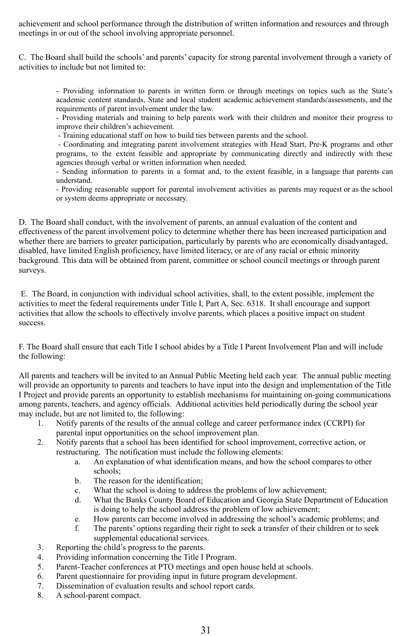achievement and school performance through the distribution of written information and resources and through meetings in or out of the school involving appropriate personnel.

C. The Board shall build the schools' and parents' capacity for strong parental involvement through a variety of activities to include but not limited to:

> - Providing information to parents in written form or through meetings on topics such as the State's academic content standards, State and local student academic achievement standards/assessments, and the requirements of parent involvement under the law.

> - Providing materials and training to help parents work with their children and monitor their progress to improve their children's achievement.

- Training educational staff on how to build ties between parents and the school.

- Coordinating and integrating parent involvement strategies with Head Start, Pre-K programs and other programs, to the extent feasible and appropriate by communicating directly and indirectly with these agencies through verbal or written information when needed.

- Sending information to parents in a format and, to the extent feasible, in a language that parents can understand.

- Providing reasonable support for parental involvement activities as parents may request or as the school or system deems appropriate or necessary.

D. The Board shall conduct, with the involvement of parents, an annual evaluation of the content and effectiveness of the parent involvement policy to determine whether there has been increased participation and whether there are barriers to greater participation, particularly by parents who are economically disadvantaged, disabled, have limited English proficiency, have limited literacy, or are of any racial or ethnic minority background. This data will be obtained from parent, committee or school council meetings or through parent surveys.

E. The Board, in conjunction with individual school activities, shall, to the extent possible, implement the activities to meet the federal requirements under Title I, Part A, Sec. 6318. It shall encourage and support activities that allow the schools to effectively involve parents, which places a positive impact on student success.

F. The Board shall ensure that each Title I school abides by a Title I Parent Involvement Plan and will include the following:

All parents and teachers will be invited to an Annual Public Meeting held each year. The annual public meeting will provide an opportunity to parents and teachers to have input into the design and implementation of the Title I Project and provide parents an opportunity to establish mechanisms for maintaining on-going communications among parents, teachers, and agency officials. Additional activities held periodically during the school year may include, but are not limited to, the following:

- 1. Notify parents of the results of the annual college and career performance index (CCRPI) for parental input opportunities on the school improvement plan.
- 2. Notify parents that a school has been identified for school improvement, corrective action, or restructuring. The notification must include the following elements:
	- a. An explanation of what identification means, and how the school compares to other schools;
	- b. The reason for the identification;
	- c. What the school is doing to address the problems of low achievement;
	- d. What the Banks County Board of Education and Georgia State Department of Education is doing to help the school address the problem of low achievement;
	- e. How parents can become involved in addressing the school's academic problems; and
	- f. The parents' options regarding their right to seek a transfer of their children or to seek supplemental educational services.
- 3. Reporting the child's progress to the parents.
- 4. Providing information concerning the Title I Program.
- 5. Parent-Teacher conferences at PTO meetings and open house held at schools.
- 6. Parent questionnaire for providing input in future program development.
- 7. Dissemination of evaluation results and school report cards.
- 8. A school-parent compact.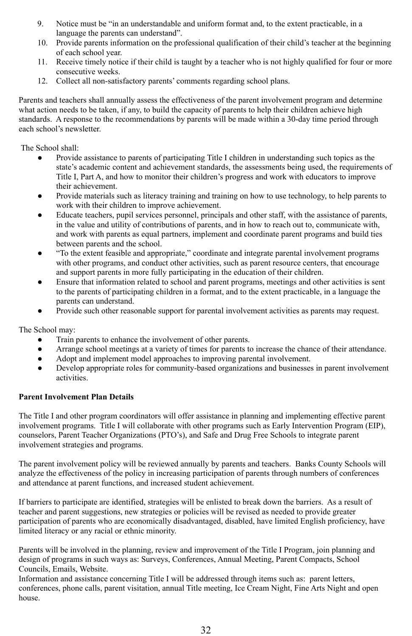- 9. Notice must be "in an understandable and uniform format and, to the extent practicable, in a language the parents can understand".
- 10. Provide parents information on the professional qualification of their child's teacher at the beginning of each school year.
- 11. Receive timely notice if their child is taught by a teacher who is not highly qualified for four or more consecutive weeks.
- 12. Collect all non-satisfactory parents' comments regarding school plans.

Parents and teachers shall annually assess the effectiveness of the parent involvement program and determine what action needs to be taken, if any, to build the capacity of parents to help their children achieve high standards. A response to the recommendations by parents will be made within a 30-day time period through each school's newsletter.

The School shall:

- Provide assistance to parents of participating Title I children in understanding such topics as the state's academic content and achievement standards, the assessments being used, the requirements of Title I, Part A, and how to monitor their children's progress and work with educators to improve their achievement.
- Provide materials such as literacy training and training on how to use technology, to help parents to work with their children to improve achievement.
- Educate teachers, pupil services personnel, principals and other staff, with the assistance of parents, in the value and utility of contributions of parents, and in how to reach out to, communicate with, and work with parents as equal partners, implement and coordinate parent programs and build ties between parents and the school.
- "To the extent feasible and appropriate," coordinate and integrate parental involvement programs with other programs, and conduct other activities, such as parent resource centers, that encourage and support parents in more fully participating in the education of their children.
- Ensure that information related to school and parent programs, meetings and other activities is sent to the parents of participating children in a format, and to the extent practicable, in a language the parents can understand.
- Provide such other reasonable support for parental involvement activities as parents may request.

The School may:

- Train parents to enhance the involvement of other parents.
- Arrange school meetings at a variety of times for parents to increase the chance of their attendance.
- Adopt and implement model approaches to improving parental involvement.
- Develop appropriate roles for community-based organizations and businesses in parent involvement activities.

#### **Parent Involvement Plan Details**

The Title I and other program coordinators will offer assistance in planning and implementing effective parent involvement programs. Title I will collaborate with other programs such as Early Intervention Program (EIP), counselors, Parent Teacher Organizations (PTO's), and Safe and Drug Free Schools to integrate parent involvement strategies and programs.

The parent involvement policy will be reviewed annually by parents and teachers. Banks County Schools will analyze the effectiveness of the policy in increasing participation of parents through numbers of conferences and attendance at parent functions, and increased student achievement.

If barriers to participate are identified, strategies will be enlisted to break down the barriers. As a result of teacher and parent suggestions, new strategies or policies will be revised as needed to provide greater participation of parents who are economically disadvantaged, disabled, have limited English proficiency, have limited literacy or any racial or ethnic minority.

Parents will be involved in the planning, review and improvement of the Title I Program, join planning and design of programs in such ways as: Surveys, Conferences, Annual Meeting, Parent Compacts, School Councils, Emails, Website.

Information and assistance concerning Title I will be addressed through items such as: parent letters, conferences, phone calls, parent visitation, annual Title meeting, Ice Cream Night, Fine Arts Night and open house.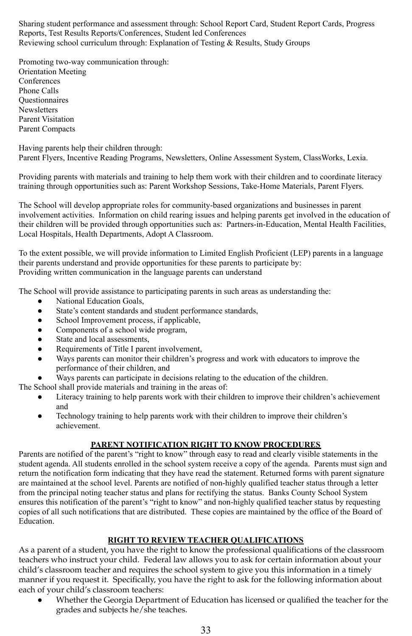Sharing student performance and assessment through: School Report Card, Student Report Cards, Progress Reports, Test Results Reports/Conferences, Student led Conferences Reviewing school curriculum through: Explanation of Testing & Results, Study Groups

Promoting two-way communication through: Orientation Meeting **Conferences** Phone Calls **Ouestionnaires Newsletters** Parent Visitation Parent Compacts

Having parents help their children through:

Parent Flyers, Incentive Reading Programs, Newsletters, Online Assessment System, ClassWorks, Lexia.

Providing parents with materials and training to help them work with their children and to coordinate literacy training through opportunities such as: Parent Workshop Sessions, Take-Home Materials, Parent Flyers.

The School will develop appropriate roles for community-based organizations and businesses in parent involvement activities. Information on child rearing issues and helping parents get involved in the education of their children will be provided through opportunities such as: Partners-in-Education, Mental Health Facilities, Local Hospitals, Health Departments, Adopt A Classroom.

To the extent possible, we will provide information to Limited English Proficient (LEP) parents in a language their parents understand and provide opportunities for these parents to participate by: Providing written communication in the language parents can understand

The School will provide assistance to participating parents in such areas as understanding the:

- National Education Goals,
- State's content standards and student performance standards,
- School Improvement process, if applicable,
- Components of a school wide program,
- State and local assessments,
- Requirements of Title I parent involvement,
- Ways parents can monitor their children's progress and work with educators to improve the performance of their children, and
- Ways parents can participate in decisions relating to the education of the children.

The School shall provide materials and training in the areas of:

- Literacy training to help parents work with their children to improve their children's achievement and
- Technology training to help parents work with their children to improve their children's achievement.

#### **PARENT NOTIFICATION RIGHT TO KNOW PROCEDURES**

Parents are notified of the parent's "right to know" through easy to read and clearly visible statements in the student agenda. All students enrolled in the school system receive a copy of the agenda. Parents must sign and return the notification form indicating that they have read the statement. Returned forms with parent signature are maintained at the school level. Parents are notified of non-highly qualified teacher status through a letter from the principal noting teacher status and plans for rectifying the status. Banks County School System ensures this notification of the parent's "right to know" and non-highly qualified teacher status by requesting copies of all such notifications that are distributed. These copies are maintained by the office of the Board of **Education** 

#### **RIGHT TO REVIEW TEACHER QUALIFICATIONS**

As a parent of a student, you have the right to know the professional qualifications of the classroom teachers who instruct your child. Federal law allows you to ask for certain information about your child's classroom teacher and requires the school system to give you this information in a timely manner if you request it. Specifically, you have the right to ask for the following information about each of your child's classroom teachers:

Whether the Georgia Department of Education has licensed or qualified the teacher for the grades and subjects he/she teaches.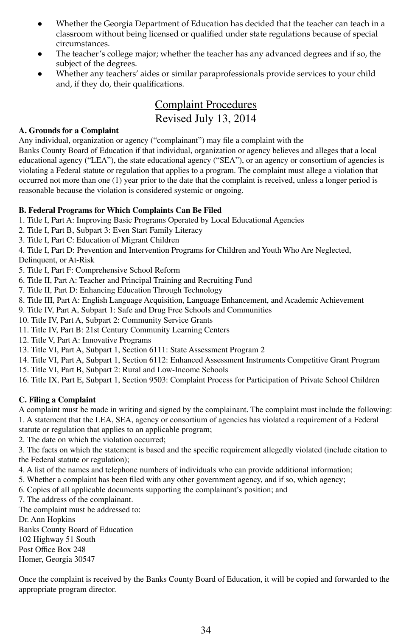- Whether the Georgia Department of Education has decided that the teacher can teach in a classroom without being licensed or qualified under state regulations because of special circumstances.
- The teacher's college major; whether the teacher has any advanced degrees and if so, the subject of the degrees.
- Whether any teachers' aides or similar paraprofessionals provide services to your child and, if they do, their qualifications.

### Complaint Procedures Revised July 13, 2014

#### **A. Grounds for a Complaint**

Any individual, organization or agency ("complainant") may file a complaint with the Banks County Board of Education if that individual, organization or agency believes and alleges that a local educational agency ("LEA"), the state educational agency ("SEA"), or an agency or consortium of agencies is violating a Federal statute or regulation that applies to a program. The complaint must allege a violation that occurred not more than one (1) year prior to the date that the complaint is received, unless a longer period is reasonable because the violation is considered systemic or ongoing.

#### **B. Federal Programs for Which Complaints Can Be Filed**

- 1. Title I, Part A: Improving Basic Programs Operated by Local Educational Agencies
- 2. Title I, Part B, Subpart 3: Even Start Family Literacy
- 3. Title I, Part C: Education of Migrant Children

4. Title I, Part D: Prevention and Intervention Programs for Children and Youth Who Are Neglected,

Delinquent, or At-Risk

5. Title I, Part F: Comprehensive School Reform

- 6. Title II, Part A: Teacher and Principal Training and Recruiting Fund
- 7. Title II, Part D: Enhancing Education Through Technology
- 8. Title III, Part A: English Language Acquisition, Language Enhancement, and Academic Achievement

9. Title IV, Part A, Subpart 1: Safe and Drug Free Schools and Communities

10. Title IV, Part A, Subpart 2: Community Service Grants

11. Title IV, Part B: 21st Century Community Learning Centers

12. Title V, Part A: Innovative Programs

13. Title VI, Part A, Subpart 1, Section 6111: State Assessment Program 2

14. Title VI, Part A, Subpart 1, Section 6112: Enhanced Assessment Instruments Competitive Grant Program

15. Title VI, Part B, Subpart 2: Rural and Low-Income Schools

16. Title IX, Part E, Subpart 1, Section 9503: Complaint Process for Participation of Private School Children

#### **C. Filing a Complaint**

A complaint must be made in writing and signed by the complainant. The complaint must include the following: 1. A statement that the LEA, SEA, agency or consortium of agencies has violated a requirement of a Federal statute or regulation that applies to an applicable program;

2. The date on which the violation occurred;

3. The facts on which the statement is based and the specific requirement allegedly violated (include citation to the Federal statute or regulation);

4. A list of the names and telephone numbers of individuals who can provide additional information;

5. Whether a complaint has been filed with any other government agency, and if so, which agency;

6. Copies of all applicable documents supporting the complainant's position; and

7. The address of the complainant.

The complaint must be addressed to:

Dr. Ann Hopkins

Banks County Board of Education 102 Highway 51 South Post Office Box 248 Homer, Georgia 30547

Once the complaint is received by the Banks County Board of Education, it will be copied and forwarded to the appropriate program director.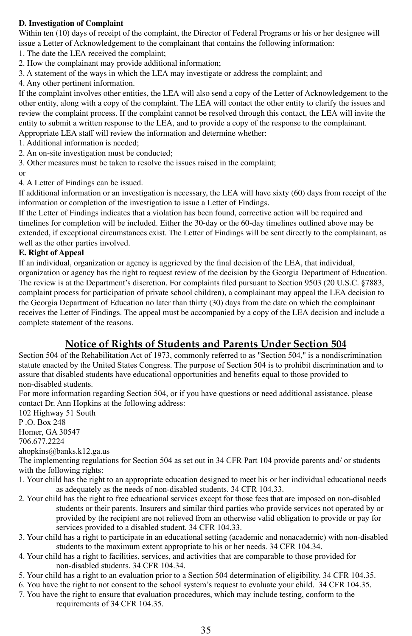#### **D. Investigation of Complaint**

Within ten (10) days of receipt of the complaint, the Director of Federal Programs or his or her designee will issue a Letter of Acknowledgement to the complainant that contains the following information:

1. The date the LEA received the complaint;

- 2. How the complainant may provide additional information;
- 3. A statement of the ways in which the LEA may investigate or address the complaint; and
- 4. Any other pertinent information.

If the complaint involves other entities, the LEA will also send a copy of the Letter of Acknowledgement to the other entity, along with a copy of the complaint. The LEA will contact the other entity to clarify the issues and review the complaint process. If the complaint cannot be resolved through this contact, the LEA will invite the entity to submit a written response to the LEA, and to provide a copy of the response to the complainant.

Appropriate LEA staff will review the information and determine whether:

1. Additional information is needed;

- 2. An on-site investigation must be conducted;
- 3. Other measures must be taken to resolve the issues raised in the complaint; or

4. A Letter of Findings can be issued.

If additional information or an investigation is necessary, the LEA will have sixty (60) days from receipt of the information or completion of the investigation to issue a Letter of Findings.

If the Letter of Findings indicates that a violation has been found, corrective action will be required and timelines for completion will be included. Either the 30-day or the 60-day timelines outlined above may be extended, if exceptional circumstances exist. The Letter of Findings will be sent directly to the complainant, as well as the other parties involved.

#### **E. Right of Appeal**

If an individual, organization or agency is aggrieved by the final decision of the LEA, that individual, organization or agency has the right to request review of the decision by the Georgia Department of Education. The review is at the Department's discretion. For complaints filed pursuant to Section 9503 (20 U.S.C. §7883, complaint process for participation of private school children), a complainant may appeal the LEA decision to the Georgia Department of Education no later than thirty (30) days from the date on which the complainant receives the Letter of Findings. The appeal must be accompanied by a copy of the LEA decision and include a complete statement of the reasons.

## **Notice of Rights of Students and Parents Under Section 504**

Section 504 of the Rehabilitation Act of 1973, commonly referred to as "Section 504," is a nondiscrimination statute enacted by the United States Congress. The purpose of Section 504 is to prohibit discrimination and to assure that disabled students have educational opportunities and benefits equal to those provided to non-disabled students.

For more information regarding Section 504, or if you have questions or need additional assistance, please contact Dr. Ann Hopkins at the following address:

102 Highway 51 South P .O. Box 248 Homer, GA 30547 706.677.2224 ahopkins@banks.k12.ga.us The implementing regulations for Section 504 as set out in 34 CFR Part 104 provide parents and/ or students with the following rights: 1. Your child has the right to an appropriate education designed to meet his or her individual educational needs as adequately as the needs of non-disabled students. 34 CFR 104.33. 2. Your child has the right to free educational services except for those fees that are imposed on non-disabled

- students or their parents. Insurers and similar third parties who provide services not operated by or provided by the recipient are not relieved from an otherwise valid obligation to provide or pay for services provided to a disabled student. 34 CFR 104.33.
- 3. Your child has a right to participate in an educational setting (academic and nonacademic) with non-disabled students to the maximum extent appropriate to his or her needs. 34 CFR 104.34.
- 4. Your child has a right to facilities, services, and activities that are comparable to those provided for non-disabled students. 34 CFR 104.34.
- 5. Your child has a right to an evaluation prior to a Section 504 determination of eligibility. 34 CFR 104.35.
- 6. You have the right to not consent to the school system's request to evaluate your child. 34 CFR 104.35.
- 7. You have the right to ensure that evaluation procedures, which may include testing, conform to the requirements of 34 CFR 104.35.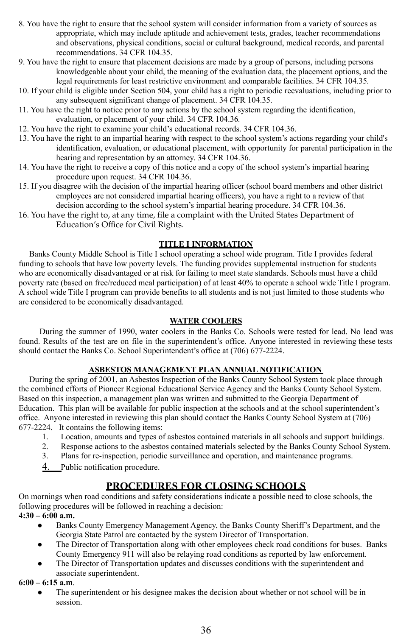- 8. You have the right to ensure that the school system will consider information from a variety of sources as appropriate, which may include aptitude and achievement tests, grades, teacher recommendations and observations, physical conditions, social or cultural background, medical records, and parental recommendations. 34 CFR 104.35.
- 9. You have the right to ensure that placement decisions are made by a group of persons, including persons knowledgeable about your child, the meaning of the evaluation data, the placement options, and the legal requirements for least restrictive environment and comparable facilities. 34 CFR 104.35*.*
- 10. If your child is eligible under Section 504, your child has a right to periodic reevaluations, including prior to any subsequent significant change of placement. 34 CFR 104.35.
- 11. You have the right to notice prior to any actions by the school system regarding the identification, evaluation, or placement of your child. 34 CFR 104.36*.*
- 12. You have the right to examine your child's educational records. 34 CFR 104.36.
- 13. You have the right to an impartial hearing with respect to the school system's actions regarding your child's identification, evaluation, or educational placement, with opportunity for parental participation in the hearing and representation by an attorney. 34 CFR 104.36.
- 14. You have the right to receive a copy of this notice and a copy of the school system's impartial hearing procedure upon request. 34 CFR 104.36.
- 15. If you disagree with the decision of the impartial hearing officer (school board members and other district employees are not considered impartial hearing officers), you have a right to a review of that decision according to the school system's impartial hearing procedure. 34 CFR 104.36.
- 16. You have the right to, at any time, file a complaint with the United States Department of Education's Office for Civil Rights.

#### **TITLE I INFORMATION**

Banks County Middle School is Title I school operating a school wide program. Title I provides federal funding to schools that have low poverty levels. The funding provides supplemental instruction for students who are economically disadvantaged or at risk for failing to meet state standards. Schools must have a child poverty rate (based on free/reduced meal participation) of at least 40% to operate a school wide Title I program. A school wide Title I program can provide benefits to all students and is not just limited to those students who are considered to be economically disadvantaged.

#### **WATER COOLERS**

During the summer of 1990, water coolers in the Banks Co. Schools were tested for lead. No lead was found. Results of the test are on file in the superintendent's office. Anyone interested in reviewing these tests should contact the Banks Co. School Superintendent's office at (706) 677-2224.

#### **ASBESTOS MANAGEMENT PLAN ANNUAL NOTIFICATION**

During the spring of 2001, an Asbestos Inspection of the Banks County School System took place through the combined efforts of Pioneer Regional Educational Service Agency and the Banks County School System. Based on this inspection, a management plan was written and submitted to the Georgia Department of Education. This plan will be available for public inspection at the schools and at the school superintendent's office. Anyone interested in reviewing this plan should contact the Banks County School System at (706) 677-2224. It contains the following items:

- 1. Location, amounts and types of asbestos contained materials in all schools and support buildings.
- Response actions to the asbestos contained materials selected by the Banks County School System.
- 3. Plans for re-inspection, periodic surveillance and operation, and maintenance programs.
- 4. Public notification procedure.

#### **PROCEDURES FOR CLOSING SCHOOLS**

On mornings when road conditions and safety considerations indicate a possible need to close schools, the following procedures will be followed in reaching a decision:

- **4:30 – 6:00 a.m.**
	- Banks County Emergency Management Agency, the Banks County Sheriff's Department, and the Georgia State Patrol are contacted by the system Director of Transportation.
	- The Director of Transportation along with other employees check road conditions for buses. Banks County Emergency 911 will also be relaying road conditions as reported by law enforcement.
	- The Director of Transportation updates and discusses conditions with the superintendent and associate superintendent.

#### **6:00 – 6:15 a.m**.

• The superintendent or his designee makes the decision about whether or not school will be in session.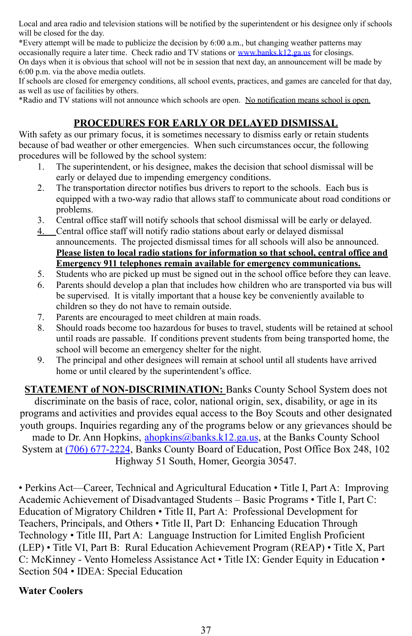Local and area radio and television stations will be notified by the superintendent or his designee only if schools will be closed for the day.

\*Every attempt will be made to publicize the decision by 6:00 a.m., but changing weather patterns may occasionally require a later time. Check radio and TV stations or [www.banks.k12.ga.us](http://www.banks.k12.ga.us) for closings. On days when it is obvious that school will not be in session that next day, an announcement will be made by 6:00 p.m. via the above media outlets.

If schools are closed for emergency conditions, all school events, practices, and games are canceled for that day, as well as use of facilities by others.

\*Radio and TV stations will not announce which schools are open. No notification means school is open.

## **PROCEDURES FOR EARLY OR DELAYED DISMISSAL**

With safety as our primary focus, it is sometimes necessary to dismiss early or retain students because of bad weather or other emergencies. When such circumstances occur, the following procedures will be followed by the school system:

- 1. The superintendent, or his designee, makes the decision that school dismissal will be early or delayed due to impending emergency conditions.
- 2. The transportation director notifies bus drivers to report to the schools. Each bus is equipped with a two-way radio that allows staff to communicate about road conditions or problems.
- 3. Central office staff will notify schools that school dismissal will be early or delayed.
- 4. Central office staff will notify radio stations about early or delayed dismissal announcements. The projected dismissal times for all schools will also be announced. **Please listen to local radio stations for information so that school, central office and Emergency 911 telephones remain available for emergency communications.**
- 5. Students who are picked up must be signed out in the school office before they can leave.
- 6. Parents should develop a plan that includes how children who are transported via bus will be supervised. It is vitally important that a house key be conveniently available to children so they do not have to remain outside.
- 7. Parents are encouraged to meet children at main roads.
- 8. Should roads become too hazardous for buses to travel, students will be retained at school until roads are passable. If conditions prevent students from being transported home, the school will become an emergency shelter for the night.
- 9. The principal and other designees will remain at school until all students have arrived home or until cleared by the superintendent's office.

**STATEMENT of NON-DISCRIMINATION:** Banks County School System does not discriminate on the basis of race, color, national origin, sex, disability, or age in its programs and activities and provides equal access to the Boy Scouts and other designated youth groups. Inquiries regarding any of the programs below or any grievances should be made to Dr. Ann Hopkins, [ahopkins@banks.k12.ga.us](mailto:ahopkins@banks.k12.ga.us), at the Banks County School

System at (706) [677-2224](tel:%28706%29%20677-2224), Banks County Board of Education, Post Office Box 248, 102 Highway 51 South, Homer, Georgia 30547.

• Perkins Act—Career, Technical and Agricultural Education • Title I, Part A: Improving Academic Achievement of Disadvantaged Students – Basic Programs • Title I, Part C: Education of Migratory Children • Title II, Part A: Professional Development for Teachers, Principals, and Others • Title II, Part D: Enhancing Education Through Technology • Title III, Part A: Language Instruction for Limited English Proficient (LEP) • Title VI, Part B: Rural Education Achievement Program (REAP) • Title X, Part C: McKinney - Vento Homeless Assistance Act • Title IX: Gender Equity in Education • Section 504 • IDEA: Special Education

#### **Water Coolers**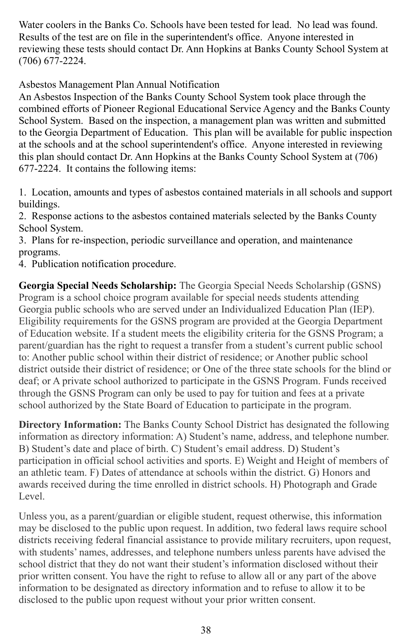Water coolers in the Banks Co. Schools have been tested for lead. No lead was found. Results of the test are on file in the superintendent's office. Anyone interested in reviewing these tests should contact Dr. Ann Hopkins at Banks County School System at (706) 677-2224.

Asbestos Management Plan Annual Notification

An Asbestos Inspection of the Banks County School System took place through the combined efforts of Pioneer Regional Educational Service Agency and the Banks County School System. Based on the inspection, a management plan was written and submitted to the Georgia Department of Education. This plan will be available for public inspection at the schools and at the school superintendent's office. Anyone interested in reviewing this plan should contact Dr. Ann Hopkins at the Banks County School System at (706) 677-2224. It contains the following items:

1. Location, amounts and types of asbestos contained materials in all schools and support buildings.

2. Response actions to the asbestos contained materials selected by the Banks County School System.

3. Plans for re-inspection, periodic surveillance and operation, and maintenance programs.

4. Publication notification procedure.

**Georgia Special Needs Scholarship:** The Georgia Special Needs Scholarship (GSNS) Program is a school choice program available for special needs students attending Georgia public schools who are served under an Individualized Education Plan (IEP). Eligibility requirements for the GSNS program are provided at the Georgia Department of Education website. If a student meets the eligibility criteria for the GSNS Program; a parent/guardian has the right to request a transfer from a student's current public school to: Another public school within their district of residence; or Another public school district outside their district of residence; or One of the three state schools for the blind or deaf; or A private school authorized to participate in the GSNS Program. Funds received through the GSNS Program can only be used to pay for tuition and fees at a private school authorized by the State Board of Education to participate in the program.

**Directory Information:** The Banks County School District has designated the following information as directory information: A) Student's name, address, and telephone number. B) Student's date and place of birth. C) Student's email address. D) Student's participation in official school activities and sports. E) Weight and Height of members of an athletic team. F) Dates of attendance at schools within the district. G) Honors and awards received during the time enrolled in district schools. H) Photograph and Grade Level.

Unless you, as a parent/guardian or eligible student, request otherwise, this information may be disclosed to the public upon request. In addition, two federal laws require school districts receiving federal financial assistance to provide military recruiters, upon request, with students' names, addresses, and telephone numbers unless parents have advised the school district that they do not want their student's information disclosed without their prior written consent. You have the right to refuse to allow all or any part of the above information to be designated as directory information and to refuse to allow it to be disclosed to the public upon request without your prior written consent.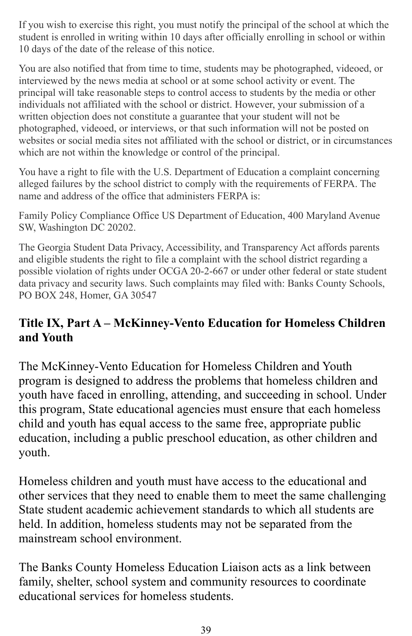If you wish to exercise this right, you must notify the principal of the school at which the student is enrolled in writing within 10 days after officially enrolling in school or within 10 days of the date of the release of this notice.

You are also notified that from time to time, students may be photographed, videoed, or interviewed by the news media at school or at some school activity or event. The principal will take reasonable steps to control access to students by the media or other individuals not affiliated with the school or district. However, your submission of a written objection does not constitute a guarantee that your student will not be photographed, videoed, or interviews, or that such information will not be posted on websites or social media sites not affiliated with the school or district, or in circumstances which are not within the knowledge or control of the principal.

You have a right to file with the U.S. Department of Education a complaint concerning alleged failures by the school district to comply with the requirements of FERPA. The name and address of the office that administers FERPA is:

Family Policy Compliance Office US Department of Education, 400 Maryland Avenue SW, Washington DC 20202.

The Georgia Student Data Privacy, Accessibility, and Transparency Act affords parents and eligible students the right to file a complaint with the school district regarding a possible violation of rights under OCGA 20-2-667 or under other federal or state student data privacy and security laws. Such complaints may filed with: Banks County Schools, PO BOX 248, Homer, GA 30547

## **Title IX, Part A – McKinney-Vento Education for Homeless Children and Youth**

The McKinney-Vento Education for Homeless Children and Youth program is designed to address the problems that homeless children and youth have faced in enrolling, attending, and succeeding in school. Under this program, State educational agencies must ensure that each homeless child and youth has equal access to the same free, appropriate public education, including a public preschool education, as other children and youth.

Homeless children and youth must have access to the educational and other services that they need to enable them to meet the same challenging State student academic achievement standards to which all students are held. In addition, homeless students may not be separated from the mainstream school environment.

The Banks County Homeless Education Liaison acts as a link between family, shelter, school system and community resources to coordinate educational services for homeless students.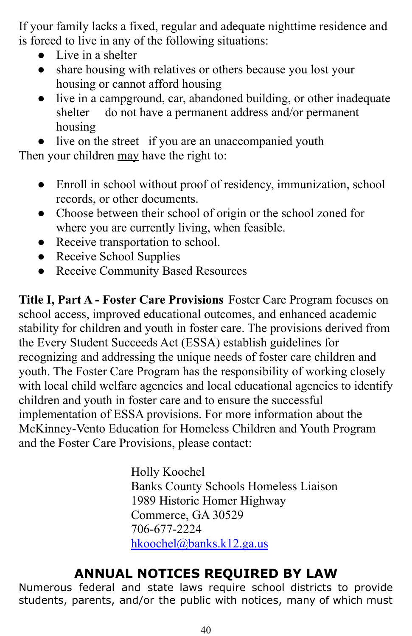If your family lacks a fixed, regular and adequate nighttime residence and is forced to live in any of the following situations:

- Live in a shelter
- share housing with relatives or others because you lost your housing or cannot afford housing
- live in a campground, car, abandoned building, or other inadequate shelter do not have a permanent address and/or permanent housing

• live on the street if you are an unaccompanied youth Then your children may have the right to:

- Enroll in school without proof of residency, immunization, school records, or other documents.
- Choose between their school of origin or the school zoned for where you are currently living, when feasible.
- Receive transportation to school.
- Receive School Supplies
- Receive Community Based Resources

**Title I, Part A - Foster Care Provisions** Foster Care Program focuses on school access, improved educational outcomes, and enhanced academic stability for children and youth in foster care. The provisions derived from the Every Student Succeeds Act (ESSA) establish guidelines for recognizing and addressing the unique needs of foster care children and youth. The Foster Care Program has the responsibility of working closely with local child welfare agencies and local educational agencies to identify children and youth in foster care and to ensure the successful implementation of ESSA provisions. For more information about the McKinney-Vento Education for Homeless Children and Youth Program and the Foster Care Provisions, please contact:

> Holly Koochel Banks County Schools Homeless Liaison 1989 Historic Homer Highway Commerce, GA 30529 706-677-2224 [hkoochel@banks.k12.ga.us](mailto:hkoochel@banks.k12.ga.us)

# **ANNUAL NOTICES REQUIRED BY LAW**

Numerous federal and state laws require school districts to provide students, parents, and/or the public with notices, many of which must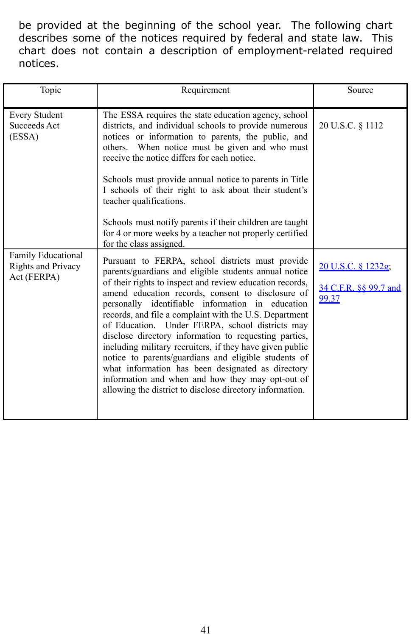be provided at the beginning of the school year. The following chart describes some of the notices required by federal and state law. This chart does not contain a description of employment-related required notices.

| Topic                                                   | Requirement                                                                                                                                                                                                                                                                                                                                                                                                                                                                                                                                                                                                                                                                                                                                                              | Source                                               |
|---------------------------------------------------------|--------------------------------------------------------------------------------------------------------------------------------------------------------------------------------------------------------------------------------------------------------------------------------------------------------------------------------------------------------------------------------------------------------------------------------------------------------------------------------------------------------------------------------------------------------------------------------------------------------------------------------------------------------------------------------------------------------------------------------------------------------------------------|------------------------------------------------------|
| <b>Every Student</b><br>Succeeds Act<br>(ESSA)          | The ESSA requires the state education agency, school<br>districts, and individual schools to provide numerous<br>notices or information to parents, the public, and<br>others. When notice must be given and who must<br>receive the notice differs for each notice.<br>Schools must provide annual notice to parents in Title<br>I schools of their right to ask about their student's<br>teacher qualifications.<br>Schools must notify parents if their children are taught<br>for 4 or more weeks by a teacher not properly certified                                                                                                                                                                                                                                | 20 U.S.C. § 1112                                     |
| Family Educational<br>Rights and Privacy<br>Act (FERPA) | for the class assigned.<br>Pursuant to FERPA, school districts must provide<br>parents/guardians and eligible students annual notice<br>of their rights to inspect and review education records,<br>amend education records, consent to disclosure of<br>personally identifiable information in education<br>records, and file a complaint with the U.S. Department<br>of Education. Under FERPA, school districts may<br>disclose directory information to requesting parties,<br>including military recruiters, if they have given public<br>notice to parents/guardians and eligible students of<br>what information has been designated as directory<br>information and when and how they may opt-out of<br>allowing the district to disclose directory information. | 20 U.S.C. § 1232g;<br>34 C.F.R. §§ 99.7 and<br>99.37 |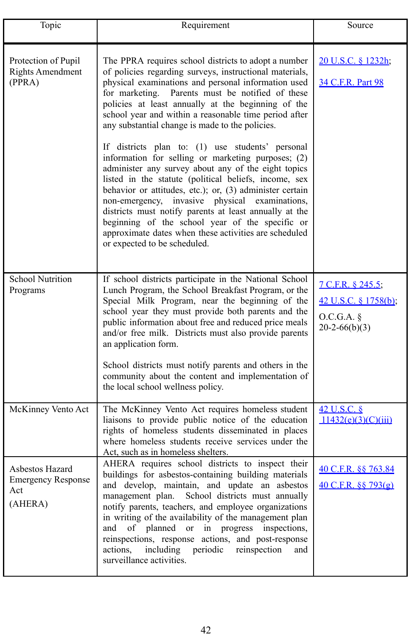| Topic                                                          | Requirement                                                                                                                                                                                                                                                                                                                                                                                                                                                                                                                                                                                                                                                                                                                                                                                                                                                                                                                                   | Source                                                                   |
|----------------------------------------------------------------|-----------------------------------------------------------------------------------------------------------------------------------------------------------------------------------------------------------------------------------------------------------------------------------------------------------------------------------------------------------------------------------------------------------------------------------------------------------------------------------------------------------------------------------------------------------------------------------------------------------------------------------------------------------------------------------------------------------------------------------------------------------------------------------------------------------------------------------------------------------------------------------------------------------------------------------------------|--------------------------------------------------------------------------|
| Protection of Pupil<br><b>Rights Amendment</b><br>(PPRA)       | The PPRA requires school districts to adopt a number<br>of policies regarding surveys, instructional materials,<br>physical examinations and personal information used<br>for marketing.<br>Parents must be notified of these<br>policies at least annually at the beginning of the<br>school year and within a reasonable time period after<br>any substantial change is made to the policies.<br>If districts plan to: (1) use students' personal<br>information for selling or marketing purposes; (2)<br>administer any survey about any of the eight topics<br>listed in the statute (political beliefs, income, sex<br>behavior or attitudes, etc.); or, (3) administer certain<br>non-emergency, invasive physical examinations,<br>districts must notify parents at least annually at the<br>beginning of the school year of the specific or<br>approximate dates when these activities are scheduled<br>or expected to be scheduled. | 20 U.S.C. § 1232h;<br>34 C.F.R. Part 98                                  |
| <b>School Nutrition</b><br>Programs                            | If school districts participate in the National School<br>Lunch Program, the School Breakfast Program, or the<br>Special Milk Program, near the beginning of the<br>school year they must provide both parents and the<br>public information about free and reduced price meals<br>and/or free milk. Districts must also provide parents<br>an application form.<br>School districts must notify parents and others in the<br>community about the content and implementation of<br>the local school wellness policy.                                                                                                                                                                                                                                                                                                                                                                                                                          | 7 C.F.R. § 245.5;<br>42 U.S.C. § 1758(b);<br>O.C.G.A.<br>$20-2-66(b)(3)$ |
| McKinney Vento Act                                             | The McKinney Vento Act requires homeless student<br>liaisons to provide public notice of the education<br>rights of homeless students disseminated in places<br>where homeless students receive services under the<br>Act, such as in homeless shelters.                                                                                                                                                                                                                                                                                                                                                                                                                                                                                                                                                                                                                                                                                      | 42 U.S.C. §<br>11432(e)(3)(C)(iii)                                       |
| Asbestos Hazard<br><b>Emergency Response</b><br>Act<br>(AHERA) | AHERA requires school districts to inspect their<br>buildings for asbestos-containing building materials<br>and develop, maintain, and update an asbestos<br>management plan. School districts must annually<br>notify parents, teachers, and employee organizations<br>in writing of the availability of the management plan<br>of planned or in progress inspections,<br>and<br>reinspections, response actions, and post-response<br>including periodic reinspection<br>actions,<br>and<br>surveillance activities.                                                                                                                                                                                                                                                                                                                                                                                                                        | 40 C.F.R. §§ 763.84<br>40 C.F.R. §§ 793(g)                               |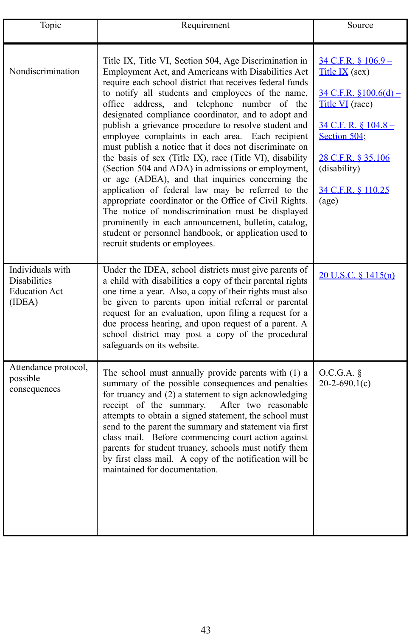| Topic                                                                     | Requirement                                                                                                                                                                                                                                                                                                                                                                                                                                                                                                                                                                                                                                                                                                                                                                                                                                                                                                                                                                                                | Source                                                                                                                                                                                                                           |
|---------------------------------------------------------------------------|------------------------------------------------------------------------------------------------------------------------------------------------------------------------------------------------------------------------------------------------------------------------------------------------------------------------------------------------------------------------------------------------------------------------------------------------------------------------------------------------------------------------------------------------------------------------------------------------------------------------------------------------------------------------------------------------------------------------------------------------------------------------------------------------------------------------------------------------------------------------------------------------------------------------------------------------------------------------------------------------------------|----------------------------------------------------------------------------------------------------------------------------------------------------------------------------------------------------------------------------------|
| Nondiscrimination                                                         | Title IX, Title VI, Section 504, Age Discrimination in<br>Employment Act, and Americans with Disabilities Act<br>require each school district that receives federal funds<br>to notify all students and employees of the name,<br>office address, and telephone number of the<br>designated compliance coordinator, and to adopt and<br>publish a grievance procedure to resolve student and<br>employee complaints in each area.<br>Each recipient<br>must publish a notice that it does not discriminate on<br>the basis of sex (Title IX), race (Title VI), disability<br>(Section 504 and ADA) in admissions or employment,<br>or age (ADEA), and that inquiries concerning the<br>application of federal law may be referred to the<br>appropriate coordinator or the Office of Civil Rights.<br>The notice of nondiscrimination must be displayed<br>prominently in each announcement, bulletin, catalog,<br>student or personnel handbook, or application used to<br>recruit students or employees. | $34$ C.F.R. § $106.9 -$<br>Title IX (sex)<br>$34$ C.F.R. $$100.6(d)$ –<br>Title VI (race)<br>$34$ C.F. R. $8$ 104.8 –<br>Section 504;<br>28 C.F.R. § 35.106<br>(disability)<br>34 C.F.R. § 110.25<br>$\left( \text{age} \right)$ |
| Individuals with<br><b>Disabilities</b><br><b>Education Act</b><br>(IDEA) | Under the IDEA, school districts must give parents of<br>a child with disabilities a copy of their parental rights<br>one time a year. Also, a copy of their rights must also<br>be given to parents upon initial referral or parental<br>request for an evaluation, upon filing a request for a<br>due process hearing, and upon request of a parent. A<br>school district may post a copy of the procedural<br>safeguards on its website.                                                                                                                                                                                                                                                                                                                                                                                                                                                                                                                                                                | 20 U.S.C. § 1415(n)                                                                                                                                                                                                              |
| Attendance protocol,<br>possible<br>consequences                          | The school must annually provide parents with (1) a<br>summary of the possible consequences and penalties<br>for truancy and (2) a statement to sign acknowledging<br>receipt of the summary.<br>After two reasonable<br>attempts to obtain a signed statement, the school must<br>send to the parent the summary and statement via first<br>class mail. Before commencing court action against<br>parents for student truancy, schools must notify them<br>by first class mail. A copy of the notification will be<br>maintained for documentation.                                                                                                                                                                                                                                                                                                                                                                                                                                                       | O.C.G.A.<br>$20-2-690.1(c)$                                                                                                                                                                                                      |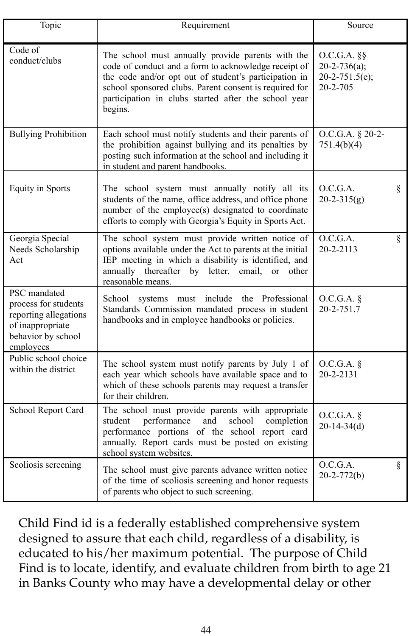| Topic                                                                                                                | Requirement                                                                                                                                                                                                                                                                                     | Source                                                               |   |
|----------------------------------------------------------------------------------------------------------------------|-------------------------------------------------------------------------------------------------------------------------------------------------------------------------------------------------------------------------------------------------------------------------------------------------|----------------------------------------------------------------------|---|
| Code of<br>conduct/clubs                                                                                             | The school must annually provide parents with the<br>code of conduct and a form to acknowledge receipt of<br>the code and/or opt out of student's participation in<br>school sponsored clubs. Parent consent is required for<br>participation in clubs started after the school year<br>begins. | $O.C.G.A.$ §§<br>$20 - 2 - 736(a)$ ;<br>$20-2-751.5(e);$<br>20-2-705 |   |
| <b>Bullying Prohibition</b>                                                                                          | Each school must notify students and their parents of<br>the prohibition against bullying and its penalties by<br>posting such information at the school and including it<br>in student and parent handbooks.                                                                                   | O.C.G.A. § 20-2-<br>751.4(b)(4)                                      |   |
| <b>Equity in Sports</b>                                                                                              | The school system must annually notify all its<br>students of the name, office address, and office phone<br>number of the employee(s) designated to coordinate<br>efforts to comply with Georgia's Equity in Sports Act.                                                                        | O.C.G.A.<br>$20-2-315(g)$                                            | ş |
| Georgia Special<br>Needs Scholarship<br>Act                                                                          | The school system must provide written notice of<br>options available under the Act to parents at the initial<br>IEP meeting in which a disability is identified, and<br>annually thereafter by letter, email,<br>other<br>$\alpha$<br>reasonable means.                                        | O.C.G.A.<br>20-2-2113                                                | ş |
| PSC mandated<br>process for students<br>reporting allegations<br>of inappropriate<br>behavior by school<br>employees | School systems must include the Professional<br>Standards Commission mandated process in student<br>handbooks and in employee handbooks or policies.                                                                                                                                            | O.C.G.A.<br>$20 - 2 - 751.7$                                         |   |
| Public school choice<br>within the district                                                                          | The school system must notify parents by July 1 of<br>each year which schools have available space and to<br>which of these schools parents may request a transfer<br>for their children.                                                                                                       | O.C.G.A.<br>20-2-2131                                                |   |
| School Report Card                                                                                                   | The school must provide parents with appropriate<br>student<br>performance<br>and<br>school<br>completion<br>performance portions of the school report card<br>annually. Report cards must be posted on existing<br>school system websites.                                                     | O.C.G.A. §<br>$20-14-34(d)$                                          |   |
| Scoliosis screening                                                                                                  | The school must give parents advance written notice<br>of the time of scoliosis screening and honor requests<br>of parents who object to such screening.                                                                                                                                        | O.C.G.A.<br>$20 - 2 - 772(b)$                                        | ş |

Child Find id is a federally established comprehensive system designed to assure that each child, regardless of a disability, is educated to his/her maximum potential. The purpose of Child Find is to locate, identify, and evaluate children from birth to age 21 in Banks County who may have a developmental delay or other